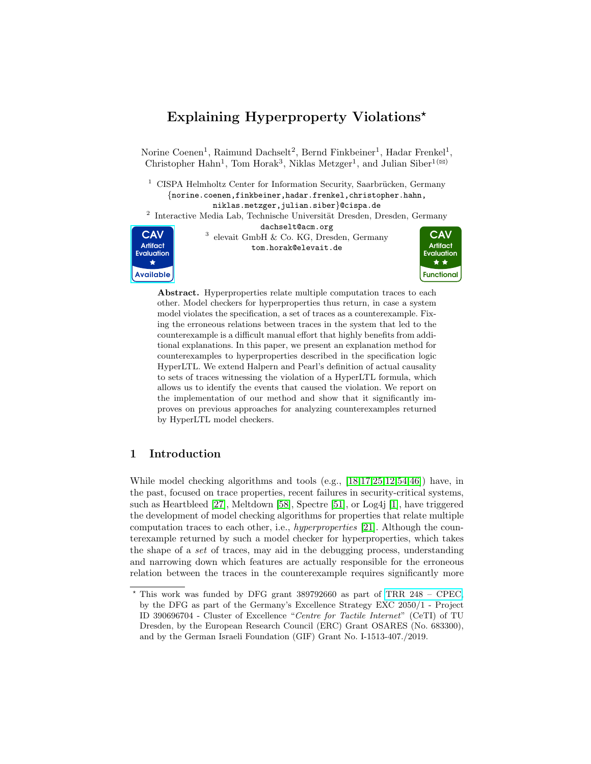# Explaining Hyperproperty Violations\*

Norine Coenen<sup>1</sup>, Raimund Dachselt<sup>2</sup>, Bernd Finkbeiner<sup>1</sup>, Hadar Frenkel<sup>1</sup>, Christopher Hahn<sup>1</sup>, Tom Horak<sup>3</sup>, Niklas Metzger<sup>1</sup>, and Julian Siber<sup>1( $\boxtimes$ )</sup>

 $1$  CISPA Helmholtz Center for Information Security, Saarbrücken, Germany {norine.coenen,finkbeiner,hadar.frenkel,christopher.hahn, niklas.metzger,julian.siber}@cispa.de

<sup>2</sup> Interactive Media Lab, Technische Universität Dresden, Dresden, Germany

dachselt@acm.org



3 elevait GmbH & Co. KG, Dresden, Germany tom.horak@elevait.de



Abstract. Hyperproperties relate multiple computation traces to each other. Model checkers for hyperproperties thus return, in case a system model violates the specification, a set of traces as a counterexample. Fixing the erroneous relations between traces in the system that led to the counterexample is a difficult manual effort that highly benefits from additional explanations. In this paper, we present an explanation method for counterexamples to hyperproperties described in the specification logic HyperLTL. We extend Halpern and Pearl's definition of actual causality to sets of traces witnessing the violation of a HyperLTL formula, which allows us to identify the events that caused the violation. We report on the implementation of our method and show that it significantly improves on previous approaches for analyzing counterexamples returned by HyperLTL model checkers.

# 1 Introduction

While model checking algorithms and tools (e.g., [\[18,](#page-19-0)[17,](#page-19-1)[25](#page-19-2)[,12,](#page-19-3)[54,](#page-21-0)[46\]](#page-20-0)) have, in the past, focused on trace properties, recent failures in security-critical systems, such as Heartbleed [\[27\]](#page-19-4), Meltdown [\[58\]](#page-21-1), Spectre [\[51\]](#page-20-1), or Log4j [\[1\]](#page-18-0), have triggered the development of model checking algorithms for properties that relate multiple computation traces to each other, i.e., hyperproperties [\[21\]](#page-19-5). Although the counterexample returned by such a model checker for hyperproperties, which takes the shape of a set of traces, may aid in the debugging process, understanding and narrowing down which features are actually responsible for the erroneous relation between the traces in the counterexample requires significantly more

<sup>?</sup> This work was funded by DFG grant 389792660 as part of [TRR 248 – CPEC,](https://perspicuous-computing.science) by the DFG as part of the Germany's Excellence Strategy EXC 2050/1 - Project ID 390696704 - Cluster of Excellence "Centre for Tactile Internet" (CeTI) of TU Dresden, by the European Research Council (ERC) Grant OSARES (No. 683300), and by the German Israeli Foundation (GIF) Grant No. I-1513-407./2019.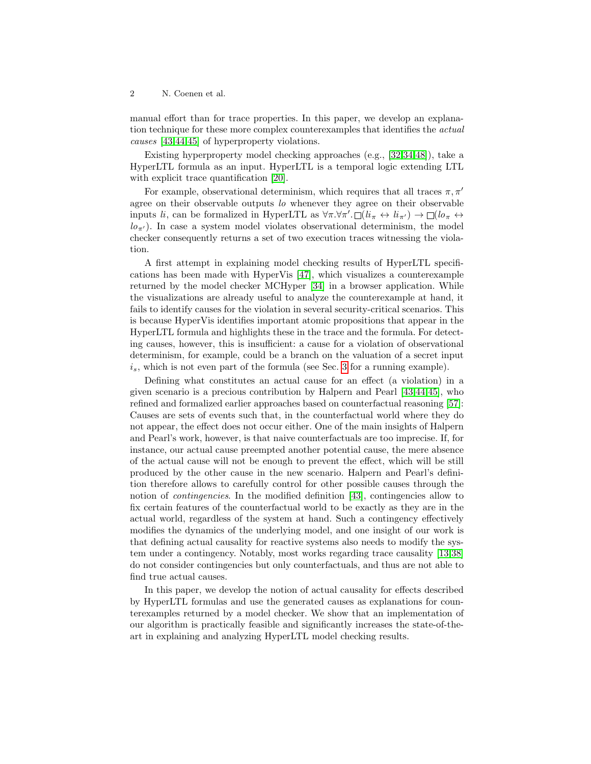manual effort than for trace properties. In this paper, we develop an explanation technique for these more complex counterexamples that identifies the *actual* causes [\[43,](#page-20-2)[44,](#page-20-3)[45\]](#page-20-4) of hyperproperty violations.

Existing hyperproperty model checking approaches (e.g., [\[32,](#page-20-5)[34,](#page-20-6)[48\]](#page-20-7)), take a HyperLTL formula as an input. HyperLTL is a temporal logic extending LTL with explicit trace quantification [\[20\]](#page-19-6).

For example, observational determinism, which requires that all traces  $\pi, \pi'$ agree on their observable outputs lo whenever they agree on their observable inputs  $l_i$ , can be formalized in HyperLTL as  $\forall \pi \cdot \forall \pi' \cdot \Box (l_i \leftrightarrow l_i_{\pi'}) \rightarrow \Box (l_i \leftrightarrow l_j)$  $l\sigma_{\pi'}$ ). In case a system model violates observational determinism, the model checker consequently returns a set of two execution traces witnessing the violation.

A first attempt in explaining model checking results of HyperLTL specifications has been made with HyperVis [\[47\]](#page-20-8), which visualizes a counterexample returned by the model checker MCHyper [\[34\]](#page-20-6) in a browser application. While the visualizations are already useful to analyze the counterexample at hand, it fails to identify causes for the violation in several security-critical scenarios. This is because HyperVis identifies important atomic propositions that appear in the HyperLTL formula and highlights these in the trace and the formula. For detecting causes, however, this is insufficient: a cause for a violation of observational determinism, for example, could be a branch on the valuation of a secret input  $i_s$ , which is not even part of the formula (see Sec. [3](#page-4-0) for a running example).

Defining what constitutes an actual cause for an effect (a violation) in a given scenario is a precious contribution by Halpern and Pearl [\[43,](#page-20-2)[44,](#page-20-3)[45\]](#page-20-4), who refined and formalized earlier approaches based on counterfactual reasoning [\[57\]](#page-21-2): Causes are sets of events such that, in the counterfactual world where they do not appear, the effect does not occur either. One of the main insights of Halpern and Pearl's work, however, is that naive counterfactuals are too imprecise. If, for instance, our actual cause preempted another potential cause, the mere absence of the actual cause will not be enough to prevent the effect, which will be still produced by the other cause in the new scenario. Halpern and Pearl's definition therefore allows to carefully control for other possible causes through the notion of *contingencies*. In the modified definition [\[43\]](#page-20-2), contingencies allow to fix certain features of the counterfactual world to be exactly as they are in the actual world, regardless of the system at hand. Such a contingency effectively modifies the dynamics of the underlying model, and one insight of our work is that defining actual causality for reactive systems also needs to modify the system under a contingency. Notably, most works regarding trace causality [\[13,](#page-19-7)[38\]](#page-20-9) do not consider contingencies but only counterfactuals, and thus are not able to find true actual causes.

In this paper, we develop the notion of actual causality for effects described by HyperLTL formulas and use the generated causes as explanations for counterexamples returned by a model checker. We show that an implementation of our algorithm is practically feasible and significantly increases the state-of-theart in explaining and analyzing HyperLTL model checking results.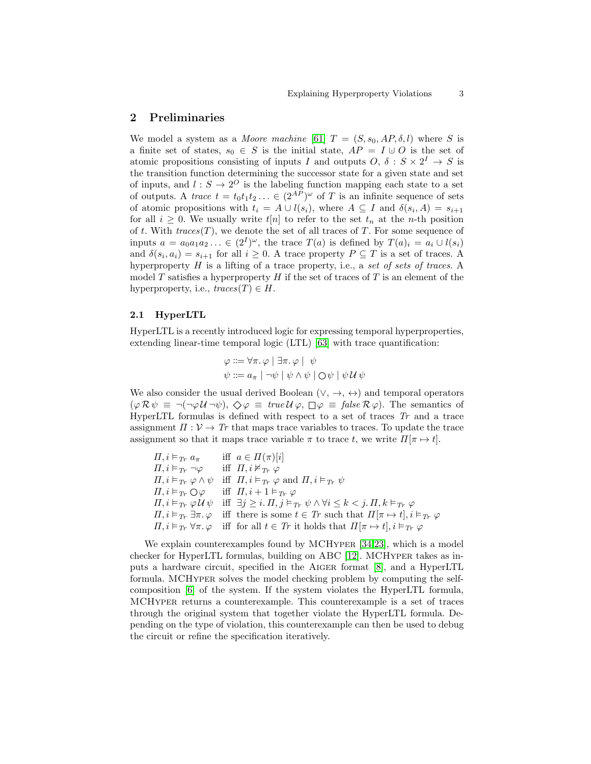# 2 Preliminaries

We model a system as a *Moore machine* [\[61\]](#page-21-3)  $T = (S, s_0, AP, \delta, l)$  where S is a finite set of states,  $s_0 \in S$  is the initial state,  $AP = I \cup O$  is the set of atomic propositions consisting of inputs I and outputs  $O, \delta : S \times 2^I \rightarrow S$  is the transition function determining the successor state for a given state and set of inputs, and  $l : S \to 2^O$  is the labeling function mapping each state to a set of outputs. A trace  $t = t_0 t_1 t_2 \ldots \in (2^{AP})^{\omega}$  of T is an infinite sequence of sets of atomic propositions with  $t_i = A \cup l(s_i)$ , where  $A \subseteq I$  and  $\delta(s_i, A) = s_{i+1}$ for all  $i \geq 0$ . We usually write  $t[n]$  to refer to the set  $t_n$  at the *n*-th position of t. With  $traces(T)$ , we denote the set of all traces of T. For some sequence of inputs  $a = a_0 a_1 a_2 \ldots \in (2^I)^{\omega}$ , the trace  $T(a)$  is defined by  $T(a)_i = a_i \cup l(s_i)$ and  $\delta(s_i, a_i) = s_{i+1}$  for all  $i \geq 0$ . A trace property  $P \subseteq T$  is a set of traces. A hyperproperty  $H$  is a lifting of a trace property, i.e., a set of sets of traces. A model T satisfies a hyperproperty  $H$  if the set of traces of T is an element of the hyperproperty, i.e.,  $traces(T) \in H$ .

### 2.1 HyperLTL

HyperLTL is a recently introduced logic for expressing temporal hyperproperties, extending linear-time temporal logic (LTL) [\[63\]](#page-21-4) with trace quantification:

$$
\varphi ::= \forall \pi. \varphi \mid \exists \pi. \varphi \mid \psi
$$
  

$$
\psi ::= a_{\pi} \mid \neg \psi \mid \psi \land \psi \mid \bigcirc \psi \mid \psi \mathcal{U} \psi
$$

We also consider the usual derived Boolean ( $\vee$ ,  $\rightarrow$ ,  $\leftrightarrow$ ) and temporal operators  $(\varphi \mathcal{R} \psi \equiv \neg(\neg \varphi \mathcal{U} \neg \psi), \diamondsuit \varphi \equiv \text{true } \mathcal{U} \varphi, \square \varphi \equiv \text{false } \mathcal{R} \varphi).$  The semantics of HyperLTL formulas is defined with respect to a set of traces  $Tr$  and a trace assignment  $\Pi: \mathcal{V} \to \mathcal{T}_r$  that maps trace variables to traces. To update the trace assignment so that it maps trace variable  $\pi$  to trace t, we write  $\Pi[\pi \mapsto t]$ .

 $\Pi, i \vDash_{Tr} a_{\pi}$  iff  $a \in \Pi(\pi)[i]$  $\Pi, i \vDash_{T_r} \neg \varphi$  iff  $\Pi, i \nvDash_{T_r} \varphi$  $\Pi, i \vDash_{Tr} \varphi \wedge \psi \text{ iff } \Pi, i \vDash_{Tr} \varphi \text{ and } \Pi, i \vDash_{Tr} \psi$  $\Pi, i \vDash_{Tr} \bigcirc \varphi$  iff  $\Pi, i + 1 \vDash_{Tr} \varphi$  $\Pi, i \vDash_{Tr} \varphi \mathcal{U} \psi$  iff  $\exists j \geq i$ .  $\Pi, j \vDash_{Tr} \psi \land \forall i \leq k < j$ .  $\Pi, k \vDash_{Tr} \varphi$  $\Pi, i \models_{Tr} \exists \pi, \varphi$  iff there is some  $t \in Tr$  such that  $\Pi[\pi \mapsto t], i \models_{Tr} \varphi$  $\Pi, i \models_{Tr} \forall \pi \ldotp \varphi \text{ iff for all } t \in Tr \text{ it holds that } \Pi[\pi \mapsto t], i \models_{Tr} \varphi$ 

We explain counterexamples found by MCHYPER [\[34,](#page-20-6)[23\]](#page-19-8), which is a model checker for HyperLTL formulas, building on ABC [\[12\]](#page-19-3). MCHyper takes as inputs a hardware circuit, specified in the Aiger format [\[8\]](#page-19-9), and a HyperLTL formula. MCHYPER solves the model checking problem by computing the selfcomposition [\[6\]](#page-19-10) of the system. If the system violates the HyperLTL formula, MCHyper returns a counterexample. This counterexample is a set of traces through the original system that together violate the HyperLTL formula. Depending on the type of violation, this counterexample can then be used to debug the circuit or refine the specification iteratively.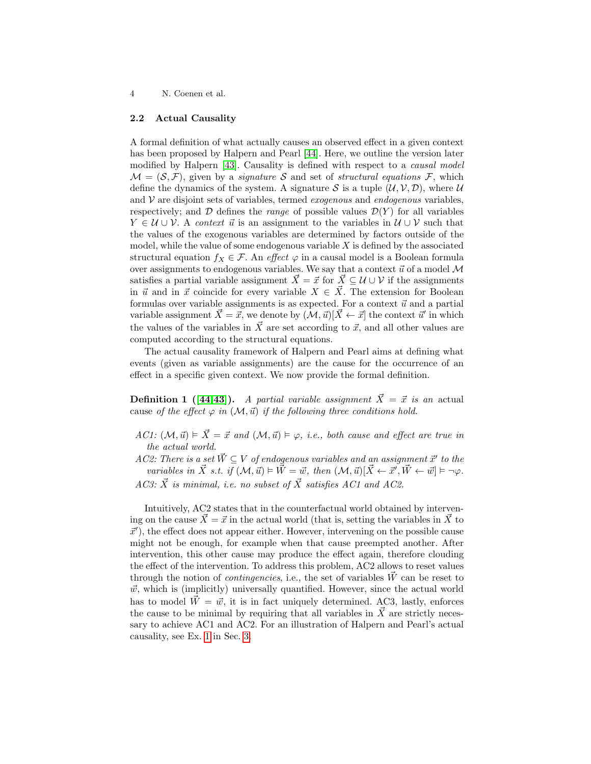#### <span id="page-3-0"></span>2.2 Actual Causality

A formal definition of what actually causes an observed effect in a given context has been proposed by Halpern and Pearl [\[44\]](#page-20-3). Here, we outline the version later modified by Halpern [\[43\]](#page-20-2). Causality is defined with respect to a *causal model*  $\mathcal{M} = (\mathcal{S}, \mathcal{F})$ , given by a *signature*  $\mathcal{S}$  and set of *structural equations*  $\mathcal{F}$ , which define the dynamics of the system. A signature S is a tuple  $(\mathcal{U}, \mathcal{V}, \mathcal{D})$ , where  $\mathcal{U}$ and  $V$  are disjoint sets of variables, termed *exogenous* and *endogenous* variables, respectively; and  $\mathcal D$  defines the *range* of possible values  $\mathcal D(Y)$  for all variables  $Y \in \mathcal{U} \cup \mathcal{V}$ . A context  $\vec{u}$  is an assignment to the variables in  $\mathcal{U} \cup \mathcal{V}$  such that the values of the exogenous variables are determined by factors outside of the model, while the value of some endogenous variable  $X$  is defined by the associated structural equation  $f_X \in \mathcal{F}$ . An effect  $\varphi$  in a causal model is a Boolean formula over assignments to endogenous variables. We say that a context  $\vec{u}$  of a model M satisfies a partial variable assignment  $\vec{X} = \vec{x}$  for  $\vec{X} \subseteq \mathcal{U} \cup \mathcal{V}$  if the assignments in  $\vec{u}$  and in  $\vec{x}$  coincide for every variable  $X \in \vec{X}$ . The extension for Boolean formulas over variable assignments is as expected. For a context  $\vec{u}$  and a partial variable assignment  $\vec{X} = \vec{x}$ , we denote by  $(\vec{M}, \vec{u})[\vec{X} \leftarrow \vec{x}]$  the context  $\vec{u}'$  in which the values of the variables in  $\vec{X}$  are set according to  $\vec{x}$ , and all other values are computed according to the structural equations.

The actual causality framework of Halpern and Pearl aims at defining what events (given as variable assignments) are the cause for the occurrence of an effect in a specific given context. We now provide the formal definition.

**Definition 1** ([\[44](#page-20-3)[,43\]](#page-20-2)). A partial variable assignment  $\vec{X} = \vec{x}$  is an actual cause of the effect  $\varphi$  in  $(\mathcal{M}, \vec{u})$  if the following three conditions hold.

AC1:  $(M, \vec{u}) \models \vec{X} = \vec{x}$  and  $(M, \vec{u}) \models \varphi$ , i.e., both cause and effect are true in the actual world.

AC2: There is a set  $\vec{W} \subseteq V$  of endogenous variables and an assignment  $\vec{x}'$  to the variables in  $\vec{X}$  s.t. if  $(M, \vec{u}) \models \vec{W} = \vec{w}$ , then  $(M, \vec{u})[\vec{X} \leftarrow \vec{x}', \vec{W} \leftarrow \vec{w}] \models \neg \varphi$ . AC3:  $\vec{X}$  is minimal, i.e. no subset of  $\vec{X}$  satisfies AC1 and AC2.

Intuitively, AC2 states that in the counterfactual world obtained by intervening on the cause  $\vec{X} = \vec{x}$  in the actual world (that is, setting the variables in  $\vec{X}$  to  $\vec{x}'$ , the effect does not appear either. However, intervening on the possible cause might not be enough, for example when that cause preempted another. After intervention, this other cause may produce the effect again, therefore clouding the effect of the intervention. To address this problem, AC2 allows to reset values through the notion of *contingencies*, i.e., the set of variables  $\vec{W}$  can be reset to  $\vec{w}$ , which is (implicitly) universally quantified. However, since the actual world has to model  $\tilde{W} = \vec{w}$ , it is in fact uniquely determined. AC3, lastly, enforces the cause to be minimal by requiring that all variables in  $\overline{X}$  are strictly necessary to achieve AC1 and AC2. For an illustration of Halpern and Pearl's actual causality, see Ex. [1](#page-4-1) in Sec. [3.](#page-4-0)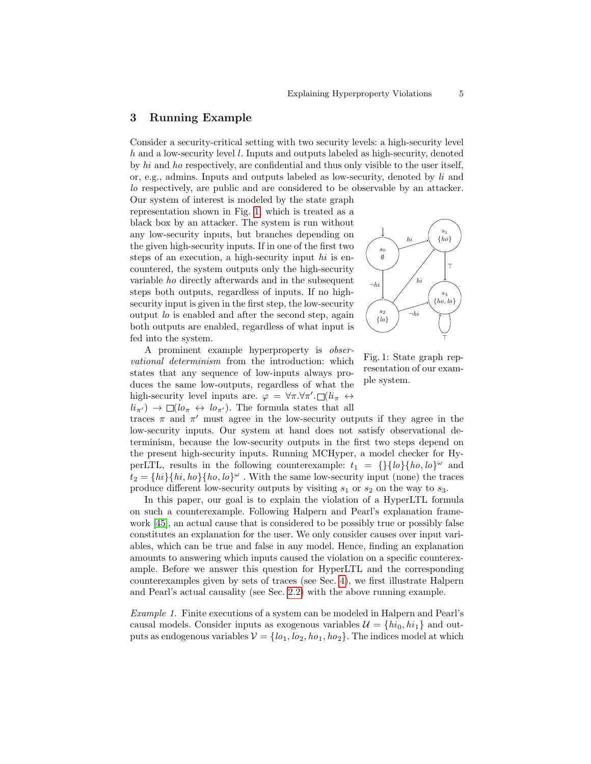# <span id="page-4-0"></span>3 Running Example

Consider a security-critical setting with two security levels: a high-security level h and a low-security level l. Inputs and outputs labeled as high-security, denoted by hi and ho respectively, are confidential and thus only visible to the user itself, or, e.g., admins. Inputs and outputs labeled as low-security, denoted by li and lo respectively, are public and are considered to be observable by an attacker. Our system of interest is modeled by the state graph

representation shown in Fig. [1,](#page-4-2) which is treated as a black box by an attacker. The system is run without any low-security inputs, but branches depending on the given high-security inputs. If in one of the first two steps of an execution, a high-security input hi is encountered, the system outputs only the high-security variable ho directly afterwards and in the subsequent steps both outputs, regardless of inputs. If no highsecurity input is given in the first step, the low-security output lo is enabled and after the second step, again both outputs are enabled, regardless of what input is fed into the system.

A prominent example hyperproperty is observational determinism from the introduction: which states that any sequence of low-inputs always produces the same low-outputs, regardless of what the high-security level inputs are.  $\varphi = \forall \pi . \forall \pi'. \Box (li_{\pi} \leftrightarrow$  $li_{\pi'} \rightarrow \Box (l \sigma_{\pi} \leftrightarrow l \sigma_{\pi'})$ . The formula states that all

traces  $\pi$  and  $\pi'$  must agree in the low-security outputs if they agree in the low-security inputs. Our system at hand does not satisfy observational determinism, because the low-security outputs in the first two steps depend on the present high-security inputs. Running MCHyper, a model checker for HyperLTL, results in the following counterexample:  $t_1 = \{\}\{lo\}\{ho, lo\}^\omega$  and  $t_2 = \{hi\} \{hi, ho\} \{ho, lo\}^\omega$ . With the same low-security input (none) the traces produce different low-security outputs by visiting  $s_1$  or  $s_2$  on the way to  $s_3$ .

In this paper, our goal is to explain the violation of a HyperLTL formula on such a counterexample. Following Halpern and Pearl's explanation framework [\[45\]](#page-20-4), an actual cause that is considered to be possibly true or possibly false constitutes an explanation for the user. We only consider causes over input variables, which can be true and false in any model. Hence, finding an explanation amounts to answering which inputs caused the violation on a specific counterexample. Before we answer this question for HyperLTL and the corresponding counterexamples given by sets of traces (see Sec. [4\)](#page-5-0), we first illustrate Halpern and Pearl's actual causality (see Sec. [2.2\)](#page-3-0) with the above running example.

<span id="page-4-1"></span>Example 1. Finite executions of a system can be modeled in Halpern and Pearl's causal models. Consider inputs as exogenous variables  $\mathcal{U} = \{hi_0, hi_1\}$  and outputs as endogenous variables  $V = \{lo_1, lo_2, ho_1, ho_2\}$ . The indices model at which

<span id="page-4-2"></span>

Fig. 1: State graph representation of our example system.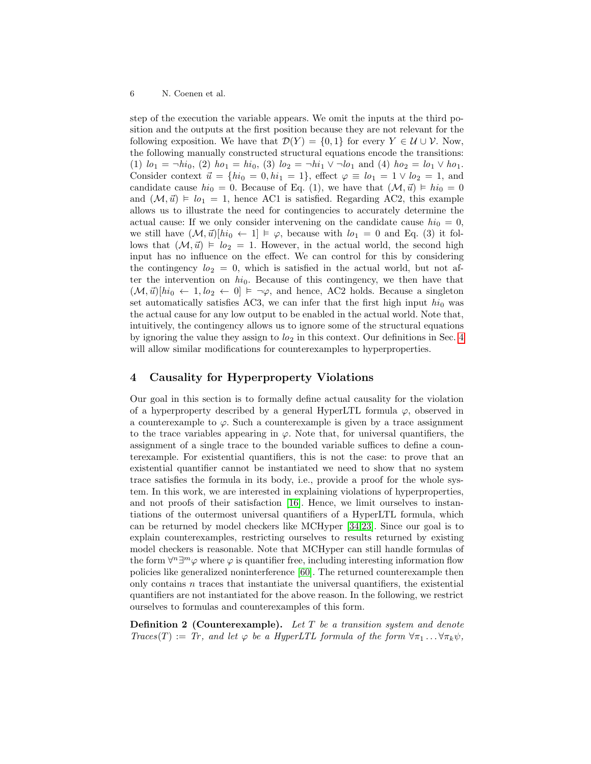step of the execution the variable appears. We omit the inputs at the third position and the outputs at the first position because they are not relevant for the following exposition. We have that  $\mathcal{D}(Y) = \{0,1\}$  for every  $Y \in \mathcal{U} \cup \mathcal{V}$ . Now, the following manually constructed structural equations encode the transitions: (1)  $lo_1 = \neg hi_0$ , (2)  $ho_1 = hi_0$ , (3)  $lo_2 = \neg hi_1 \vee \neg lo_1$  and (4)  $ho_2 = lo_1 \vee ho_1$ . Consider context  $\vec{u} = \{hi_0 = 0, hi_1 = 1\}$ , effect  $\varphi \equiv lo_1 = 1 \vee lo_2 = 1$ , and candidate cause  $hi_0 = 0$ . Because of Eq. (1), we have that  $(\mathcal{M}, \vec{u}) \models hi_0 = 0$ and  $(\mathcal{M}, \vec{u}) \models l_{0} = 1$ , hence AC1 is satisfied. Regarding AC2, this example allows us to illustrate the need for contingencies to accurately determine the actual cause: If we only consider intervening on the candidate cause  $hi_0 = 0$ , we still have  $(M, \vec{u})[hi_0 \leftarrow 1] \models \varphi$ , because with  $lo_1 = 0$  and Eq. (3) it follows that  $(M, \vec{u}) \models lo_2 = 1$ . However, in the actual world, the second high input has no influence on the effect. We can control for this by considering the contingency  $l_2 = 0$ , which is satisfied in the actual world, but not after the intervention on  $hi_0$ . Because of this contingency, we then have that  $(\mathcal{M}, \vec{u})[hi_0 \leftarrow 1, lo_2 \leftarrow 0] \models \neg \varphi$ , and hence, AC2 holds. Because a singleton set automatically satisfies AC3, we can infer that the first high input  $hi_0$  was the actual cause for any low output to be enabled in the actual world. Note that, intuitively, the contingency allows us to ignore some of the structural equations by ignoring the value they assign to  $l_0_2$  in this context. Our definitions in Sec. [4](#page-5-0) will allow similar modifications for counterexamples to hyperproperties.

# <span id="page-5-0"></span>4 Causality for Hyperproperty Violations

Our goal in this section is to formally define actual causality for the violation of a hyperproperty described by a general HyperLTL formula  $\varphi$ , observed in a counterexample to  $\varphi$ . Such a counterexample is given by a trace assignment to the trace variables appearing in  $\varphi$ . Note that, for universal quantifiers, the assignment of a single trace to the bounded variable suffices to define a counterexample. For existential quantifiers, this is not the case: to prove that an existential quantifier cannot be instantiated we need to show that no system trace satisfies the formula in its body, i.e., provide a proof for the whole system. In this work, we are interested in explaining violations of hyperproperties, and not proofs of their satisfaction [\[16\]](#page-19-11). Hence, we limit ourselves to instantiations of the outermost universal quantifiers of a HyperLTL formula, which can be returned by model checkers like MCHyper [\[34,](#page-20-6)[23\]](#page-19-8). Since our goal is to explain counterexamples, restricting ourselves to results returned by existing model checkers is reasonable. Note that MCHyper can still handle formulas of the form  $\forall^{n} \exists^{m} \varphi$  where  $\varphi$  is quantifier free, including interesting information flow policies like generalized noninterference [\[60\]](#page-21-5). The returned counterexample then only contains  $n$  traces that instantiate the universal quantifiers, the existential quantifiers are not instantiated for the above reason. In the following, we restrict ourselves to formulas and counterexamples of this form.

**Definition 2 (Counterexample).** Let  $T$  be a transition system and denote  $Traces(T) := Tr$ , and let  $\varphi$  be a HyperLTL formula of the form  $\forall \pi_1 \dots \forall \pi_k \psi$ ,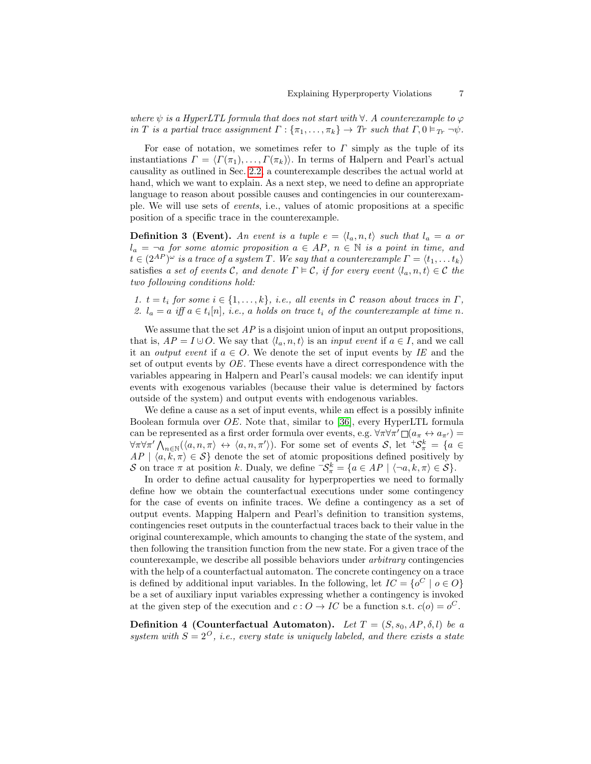where  $\psi$  is a HyperLTL formula that does not start with  $\forall$ . A counterexample to  $\varphi$ in T is a partial trace assignment  $\Gamma: \{\pi_1, \ldots, \pi_k\} \to \text{Tr}$  such that  $\Gamma, 0 \vDash_{\text{Tr}} \neg \psi$ .

For ease of notation, we sometimes refer to  $\Gamma$  simply as the tuple of its instantiations  $\Gamma = \langle \Gamma(\pi_1), \ldots, \Gamma(\pi_k) \rangle$ . In terms of Halpern and Pearl's actual causality as outlined in Sec. [2.2,](#page-3-0) a counterexample describes the actual world at hand, which we want to explain. As a next step, we need to define an appropriate language to reason about possible causes and contingencies in our counterexample. We will use sets of events, i.e., values of atomic propositions at a specific position of a specific trace in the counterexample.

**Definition 3 (Event).** An event is a tuple  $e = \langle l_a, n, t \rangle$  such that  $l_a = a$  or  $l_a = \neg a$  for some atomic proposition  $a \in AP$ ,  $n \in \mathbb{N}$  is a point in time, and  $t \in (2^{AP})^{\omega}$  is a trace of a system T. We say that a counterexample  $\Gamma = \langle t_1, \ldots t_k \rangle$ satisfies a set of events C, and denote  $\Gamma \models C$ , if for every event  $\langle l_a, n, t \rangle \in C$  the two following conditions hold:

1.  $t = t_i$  for some  $i \in \{1, ..., k\}$ , i.e., all events in C reason about traces in  $\Gamma$ , 2.  $l_a = a$  iff  $a \in t_i[n]$ , i.e., a holds on trace  $t_i$  of the counterexample at time n.

We assume that the set  $AP$  is a disjoint union of input an output propositions, that is,  $AP = I \cup O$ . We say that  $\langle l_a, n, t \rangle$  is an *input event* if  $a \in I$ , and we call it an *output event* if  $a \in O$ . We denote the set of input events by IE and the set of output events by OE. These events have a direct correspondence with the variables appearing in Halpern and Pearl's causal models: we can identify input events with exogenous variables (because their value is determined by factors outside of the system) and output events with endogenous variables.

We define a cause as a set of input events, while an effect is a possibly infinite Boolean formula over OE. Note that, similar to [\[36\]](#page-20-10), every HyperLTL formula can be represented as a first order formula over events, e.g.  $\forall \pi \forall \pi' \Box (a_{\pi} \leftrightarrow a_{\pi'})$  $\forall \pi \forall \pi' \bigwedge_{n \in \mathbb{N}} (\langle a, n, \pi \rangle \leftrightarrow \langle a, n, \pi' \rangle).$  For some set of events  $\mathcal{S}$ , let  ${}^+\mathcal{S}^k_{\pi} = \{a \in \mathcal{S}^k_{\pi} \mid a \in \mathcal{S}^k_{\pi} \}$  $AP | \langle a, \overline{k}, \pi \rangle \in S$  denote the set of atomic propositions defined positively by S on trace  $\pi$  at position k. Dualy, we define  $\mathcal{S}^k_{\pi} = \{a \in AP \mid \langle \neg a, k, \pi \rangle \in S\}.$ 

In order to define actual causality for hyperproperties we need to formally define how we obtain the counterfactual executions under some contingency for the case of events on infinite traces. We define a contingency as a set of output events. Mapping Halpern and Pearl's definition to transition systems, contingencies reset outputs in the counterfactual traces back to their value in the original counterexample, which amounts to changing the state of the system, and then following the transition function from the new state. For a given trace of the counterexample, we describe all possible behaviors under arbitrary contingencies with the help of a counterfactual automaton. The concrete contingency on a trace is defined by additional input variables. In the following, let  $IC = \{o^C \mid o \in O\}$ be a set of auxiliary input variables expressing whether a contingency is invoked at the given step of the execution and  $c: O \to IC$  be a function s.t.  $c(o) = o^C$ .

<span id="page-6-0"></span>**Definition 4 (Counterfactual Automaton).** Let  $T = (S, s_0, AP, \delta, l)$  be a system with  $S = 2^O$ , i.e., every state is uniquely labeled, and there exists a state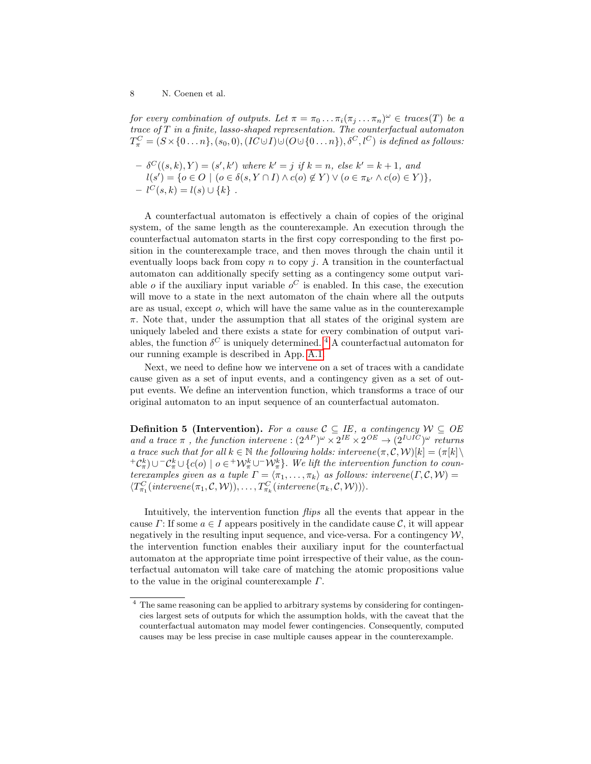for every combination of outputs. Let  $\pi = \pi_0 \dots \pi_i (\pi_j \dots \pi_n)^{\omega} \in \text{traces}(T)$  be a trace of T in a finite, lasso-shaped representation. The counterfactual automaton  $T^C_\pi=(S\!\times\!\{0\ldots n\},(s_0,0),(IC\!\cup\!I)\!\cup\!(O\!\cup\!\{0\ldots n\}),\delta^C,l^C)$  is defined as follows:

$$
- \delta^C((s,k),Y) = (s',k') \text{ where } k' = j \text{ if } k = n, \text{ else } k' = k+1, \text{ and } l(s') = \{o \in O \mid (o \in \delta(s,Y \cap I) \land c(o) \notin Y) \lor (o \in \pi_{k'} \land c(o) \in Y)\},
$$
  

$$
- l^C(s,k) = l(s) \cup \{k\}.
$$

A counterfactual automaton is effectively a chain of copies of the original system, of the same length as the counterexample. An execution through the counterfactual automaton starts in the first copy corresponding to the first position in the counterexample trace, and then moves through the chain until it eventually loops back from copy  $n$  to copy j. A transition in the counterfactual automaton can additionally specify setting as a contingency some output variable *o* if the auxiliary input variable  $o^C$  is enabled. In this case, the execution will move to a state in the next automaton of the chain where all the outputs are as usual, except o, which will have the same value as in the counterexample  $\pi$ . Note that, under the assumption that all states of the original system are uniquely labeled and there exists a state for every combination of output variables, the function  $\delta^C$  is uniquely determined. <sup>[4](#page-7-0)</sup> A counterfactual automaton for our running example is described in App. [A.1.](#page-21-6)

Next, we need to define how we intervene on a set of traces with a candidate cause given as a set of input events, and a contingency given as a set of output events. We define an intervention function, which transforms a trace of our original automaton to an input sequence of an counterfactual automaton.

**Definition 5 (Intervention).** For a cause  $\mathcal{C} \subseteq \mathit{IE}$ , a contingency  $\mathcal{W} \subseteq \mathit{OE}$ and a trace  $\pi$ , the function intervene :  $(2^{AP})^{\omega} \times 2^{IE} \times 2^{OE} \rightarrow (2^{I \cup IC})^{\omega}$  returns a trace such that for all  $k \in \mathbb{N}$  the following holds: intervene $(\pi, \mathcal{C}, \mathcal{W})[k] = (\pi[k])$  ${}^+C^k_{\pi}$ ) $\cup$ <sup>-</sup> $C^k_{\pi}$  $\cup$ {c(o) | o ∈ <sup>+</sup> $\mathcal{W}^k_{\pi}$  $\cup$ <sup>-</sup> $\mathcal{W}^k_{\pi}$ }. We lift the intervention function to counterexamples given as a tuple  $\Gamma = \langle \pi_1, \ldots, \pi_k \rangle$  as follows: intervene $(\Gamma, \mathcal{C}, \mathcal{W}) =$  $\langle T^C_{\pi_1}(\text{intervene}(\pi_1, \mathcal{C}, \mathcal{W})), \ldots, T^C_{\pi_k}(\text{intervene}(\pi_k, \mathcal{C}, \mathcal{W})) \rangle.$ 

Intuitively, the intervention function flips all the events that appear in the cause  $\Gamma$ : If some  $a \in I$  appears positively in the candidate cause  $\mathcal{C}$ , it will appear negatively in the resulting input sequence, and vice-versa. For a contingency  $W$ , the intervention function enables their auxiliary input for the counterfactual automaton at the appropriate time point irrespective of their value, as the counterfactual automaton will take care of matching the atomic propositions value to the value in the original counterexample Γ.

<span id="page-7-0"></span><sup>4</sup> The same reasoning can be applied to arbitrary systems by considering for contingencies largest sets of outputs for which the assumption holds, with the caveat that the counterfactual automaton may model fewer contingencies. Consequently, computed causes may be less precise in case multiple causes appear in the counterexample.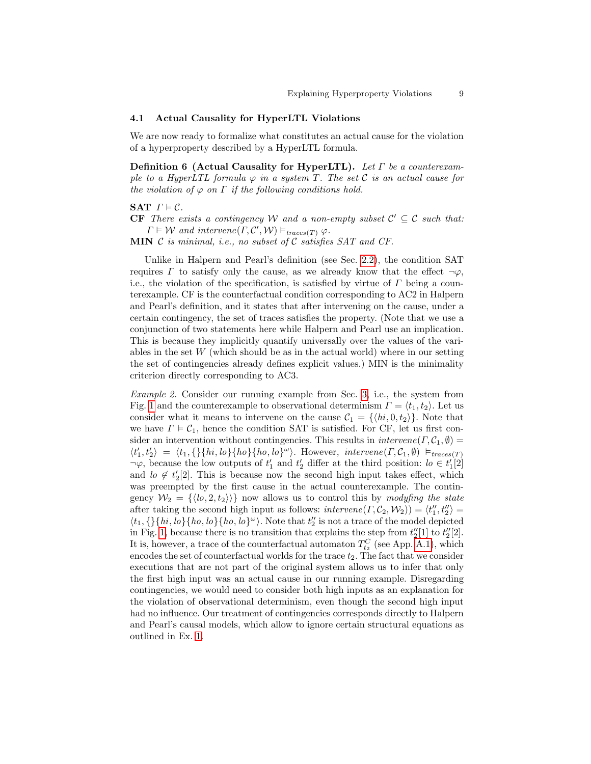### 4.1 Actual Causality for HyperLTL Violations

We are now ready to formalize what constitutes an actual cause for the violation of a hyperproperty described by a HyperLTL formula.

Definition 6 (Actual Causality for HyperLTL). Let  $\Gamma$  be a counterexample to a HyperLTL formula  $\varphi$  in a system T. The set C is an actual cause for the violation of  $\varphi$  on  $\Gamma$  if the following conditions hold.

SAT  $\Gamma \models \mathcal{C}$ .

**CF** There exists a contingency W and a non-empty subset  $C' \subseteq C$  such that:  $\Gamma \models \mathcal{W}$  and intervene $(\Gamma, \mathcal{C}', \mathcal{W}) \vDash_{traces(T)} \varphi$ .

**MIN**  $\mathcal C$  is minimal, i.e., no subset of  $\mathcal C$  satisfies SAT and CF.

Unlike in Halpern and Pearl's definition (see Sec. [2.2\)](#page-3-0), the condition SAT requires  $\Gamma$  to satisfy only the cause, as we already know that the effect  $\neg \varphi$ , i.e., the violation of the specification, is satisfied by virtue of  $\Gamma$  being a counterexample. CF is the counterfactual condition corresponding to AC2 in Halpern and Pearl's definition, and it states that after intervening on the cause, under a certain contingency, the set of traces satisfies the property. (Note that we use a conjunction of two statements here while Halpern and Pearl use an implication. This is because they implicitly quantify universally over the values of the variables in the set  $W$  (which should be as in the actual world) where in our setting the set of contingencies already defines explicit values.) MIN is the minimality criterion directly corresponding to AC3.

<span id="page-8-0"></span>Example 2. Consider our running example from Sec. [3,](#page-4-0) i.e., the system from Fig. [1](#page-4-2) and the counterexample to observational determinism  $\Gamma = \langle t_1, t_2 \rangle$ . Let us consider what it means to intervene on the cause  $\mathcal{C}_1 = \{ \langle hi, 0, t_2 \rangle \}.$  Note that we have  $\Gamma \models C_1$ , hence the condition SAT is satisfied. For CF, let us first consider an intervention without contingencies. This results in  $intervene(\Gamma, \mathcal{C}_1, \emptyset)$  $\langle t'_1, t'_2 \rangle = \langle t_1, \{\} \{hi, lo\} \{ho\} \} \rangle.$  However, intervene $(\Gamma, \mathcal{C}_1, \emptyset) \models_{traces(T)}$  $\neg \varphi$ , because the low outputs of  $t'_1$  and  $t'_2$  differ at the third position:  $l_0 \in t'_1[2]$ and  $lo \notin t'_2[2]$ . This is because now the second high input takes effect, which was preempted by the first cause in the actual counterexample. The contingency  $W_2 = \{ \langle b, 2, t_2 \rangle \}$  now allows us to control this by modyfing the state after taking the second high input as follows:  $\text{intervene}(\Gamma, \mathcal{C}_2, \mathcal{W}_2) = \langle t_1'', t_2'' \rangle =$  $\langle t_1, \{\}\{hi, lo\}\{ho, lo\}\{ho, lo\}^{\omega} \rangle$ . Note that  $t''_2$  is not a trace of the model depicted in Fig. [1,](#page-4-2) because there is no transition that explains the step from  $t_2''[1]$  to  $t_2''[2]$ . It is, however, a trace of the counterfactual automaton  $T_{t_2}^C$  (see App. [A.1\)](#page-21-6), which encodes the set of counterfactual worlds for the trace  $t_2$ . The fact that we consider executions that are not part of the original system allows us to infer that only the first high input was an actual cause in our running example. Disregarding contingencies, we would need to consider both high inputs as an explanation for the violation of observational determinism, even though the second high input had no influence. Our treatment of contingencies corresponds directly to Halpern and Pearl's causal models, which allow to ignore certain structural equations as outlined in Ex. [1.](#page-4-1)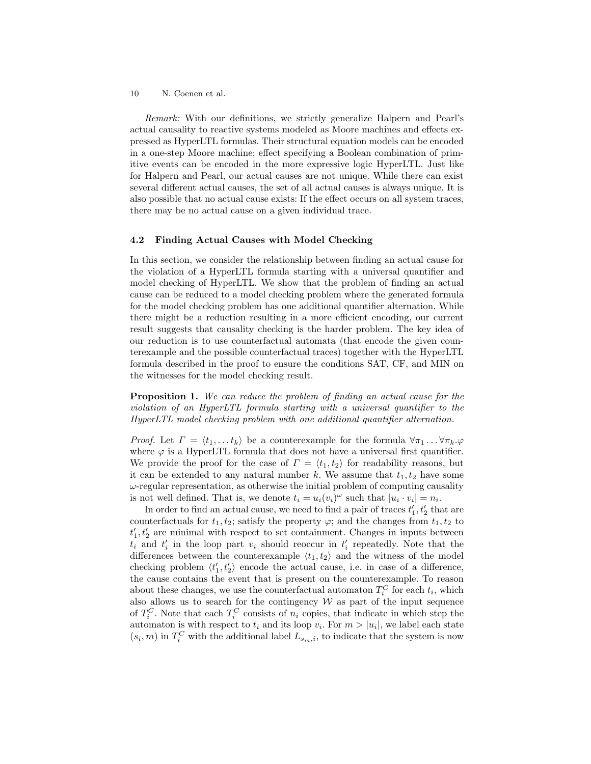Remark: With our definitions, we strictly generalize Halpern and Pearl's actual causality to reactive systems modeled as Moore machines and effects expressed as HyperLTL formulas. Their structural equation models can be encoded in a one-step Moore machine; effect specifying a Boolean combination of primitive events can be encoded in the more expressive logic HyperLTL. Just like for Halpern and Pearl, our actual causes are not unique. While there can exist several different actual causes, the set of all actual causes is always unique. It is also possible that no actual cause exists: If the effect occurs on all system traces, there may be no actual cause on a given individual trace.

### 4.2 Finding Actual Causes with Model Checking

In this section, we consider the relationship between finding an actual cause for the violation of a HyperLTL formula starting with a universal quantifier and model checking of HyperLTL. We show that the problem of finding an actual cause can be reduced to a model checking problem where the generated formula for the model checking problem has one additional quantifier alternation. While there might be a reduction resulting in a more efficient encoding, our current result suggests that causality checking is the harder problem. The key idea of our reduction is to use counterfactual automata (that encode the given counterexample and the possible counterfactual traces) together with the HyperLTL formula described in the proof to ensure the conditions SAT, CF, and MIN on the witnesses for the model checking result.

<span id="page-9-0"></span>Proposition 1. We can reduce the problem of finding an actual cause for the violation of an HyperLTL formula starting with a universal quantifier to the HyperLTL model checking problem with one additional quantifier alternation.

*Proof.* Let  $\Gamma = \langle t_1, \ldots t_k \rangle$  be a counterexample for the formula  $\forall \pi_1 \ldots \forall \pi_k \varphi$ where  $\varphi$  is a HyperLTL formula that does not have a universal first quantifier. We provide the proof for the case of  $\Gamma = \langle t_1, t_2 \rangle$  for readability reasons, but it can be extended to any natural number k. We assume that  $t_1, t_2$  have some  $\omega$ -regular representation, as otherwise the initial problem of computing causality is not well defined. That is, we denote  $t_i = u_i(v_i)^\omega$  such that  $|u_i \cdot v_i| = n_i$ .

In order to find an actual cause, we need to find a pair of traces  $t_1', t_2'$  that are counterfactuals for  $t_1, t_2$ ; satisfy the property  $\varphi$ ; and the changes from  $t_1, t_2$  to  $t_1', t_2'$  are minimal with respect to set containment. Changes in inputs between  $t_i$  and  $t'_i$  in the loop part  $v_i$  should reoccur in  $t'_i$  repeatedly. Note that the differences between the counterexample  $\langle t_1, t_2 \rangle$  and the witness of the model checking problem  $\langle t_1', t_2' \rangle$  encode the actual cause, i.e. in case of a difference, the cause contains the event that is present on the counterexample. To reason about these changes, we use the counterfactual automaton  $T_i^C$  for each  $t_i$ , which also allows us to search for the contingency  $W$  as part of the input sequence of  $T_i^C$ . Note that each  $T_i^C$  consists of  $n_i$  copies, that indicate in which step the automaton is with respect to  $t_i$  and its loop  $v_i$ . For  $m > |u_i|$ , we label each state  $(s_i, m)$  in  $T_i^C$  with the additional label  $L_{s_m,i}$ , to indicate that the system is now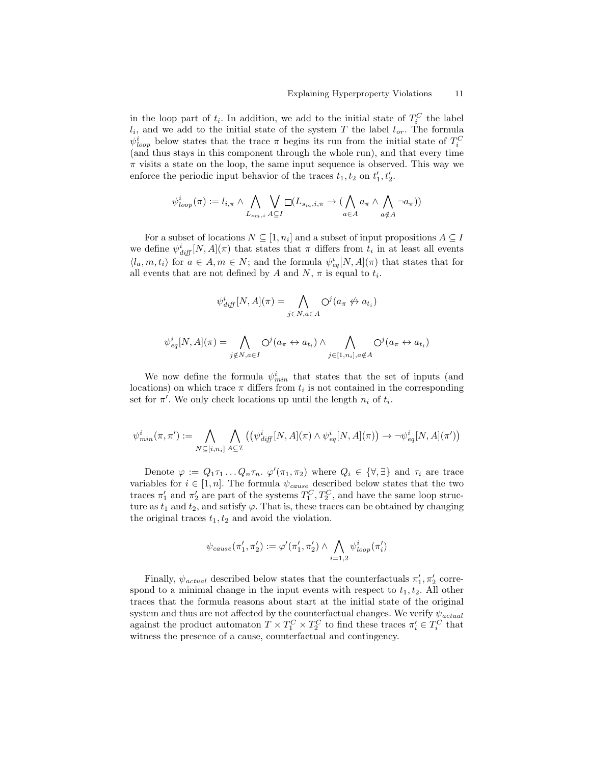in the loop part of  $t_i$ . In addition, we add to the initial state of  $T_i^C$  the label  $l_i$ , and we add to the initial state of the system T the label  $l_{or}$ . The formula  $\psi_{loop}^{i}$  below states that the trace  $\pi$  begins its run from the initial state of  $T_i^C$ (and thus stays in this component through the whole run), and that every time  $\pi$  visits a state on the loop, the same input sequence is observed. This way we enforce the periodic input behavior of the traces  $t_1, t_2$  on  $t'_1, t'_2$ .

$$
\psi_{loop}^{i}(\pi):=l_{i,\pi}\wedge\bigwedge_{L_{s_m,i}}\bigvee_{A\subseteq I}\Box(L_{s_m,i,\pi}\to(\bigwedge_{a\in A}a_{\pi}\wedge\bigwedge_{a\notin A}\neg a_{\pi}))
$$

For a subset of locations  $N \subseteq [1, n_i]$  and a subset of input propositions  $A \subseteq I$ we define  $\psi^i_{diff}[N,A](\pi)$  that states that  $\pi$  differs from  $t_i$  in at least all events  $\langle l_a, m, t_i \rangle$  for  $a \in A, m \in N$ ; and the formula  $\psi_{eq}^i[N, A](\pi)$  that states that for all events that are not defined by A and  $N$ ,  $\pi$  is equal to  $t_i$ .

$$
\psi_{\text{diff}}^i[N, A](\pi) = \bigwedge_{j \in N, a \in A} \bigcirc^j (a_{\pi} \nleftrightarrow a_{t_i})
$$

$$
\psi^i_{eq}[N,A](\pi) = \bigwedge_{j \notin N, a \in I} \bigodot^j (a_{\pi} \leftrightarrow a_{t_i}) \land \bigwedge_{j \in [1,n_i], a \notin A} \bigodot^j (a_{\pi} \leftrightarrow a_{t_i})
$$

We now define the formula  $\psi_{min}^i$  that states that the set of inputs (and locations) on which trace  $\pi$  differs from  $t_i$  is not contained in the corresponding set for  $\pi'$ . We only check locations up until the length  $n_i$  of  $t_i$ .

$$
\psi^i_{min}(\pi, \pi') := \bigwedge_{N \subseteq [i,n_i]} \bigwedge_{A \subseteq \mathcal{I}} \left( \left( \psi^i_{\text{diff}}[N, A](\pi) \wedge \psi^i_{\text{eq}}[N, A](\pi) \right) \rightarrow \neg \psi^i_{\text{eq}}[N, A](\pi') \right)
$$

Denote  $\varphi := Q_1 \tau_1 \dots Q_n \tau_n$ .  $\varphi'(\pi_1, \pi_2)$  where  $Q_i \in {\forall, \exists}$  and  $\tau_i$  are trace variables for  $i \in [1, n]$ . The formula  $\psi_{cause}$  described below states that the two traces  $\pi'_1$  and  $\pi'_2$  are part of the systems  $T_1^C, T_2^C$ , and have the same loop structure as  $t_1$  and  $t_2$ , and satisfy  $\varphi$ . That is, these traces can be obtained by changing the original traces  $t_1, t_2$  and avoid the violation.

$$
\psi_{cause}(\pi'_1, \pi'_2) := \varphi'(\pi'_1, \pi'_2) \wedge \bigwedge_{i=1,2} \psi_{loop}^i(\pi'_i)
$$

Finally,  $\psi_{actual}$  described below states that the counterfactuals  $\pi'_1$ ,  $\pi'_2$  correspond to a minimal change in the input events with respect to  $t_1, t_2$ . All other traces that the formula reasons about start at the initial state of the original system and thus are not affected by the counterfactual changes. We verify  $\psi_{actual}$ against the product automaton  $T \times T_1^C \times T_2^C$  to find these traces  $\pi'_i \in T_i^C$  that witness the presence of a cause, counterfactual and contingency.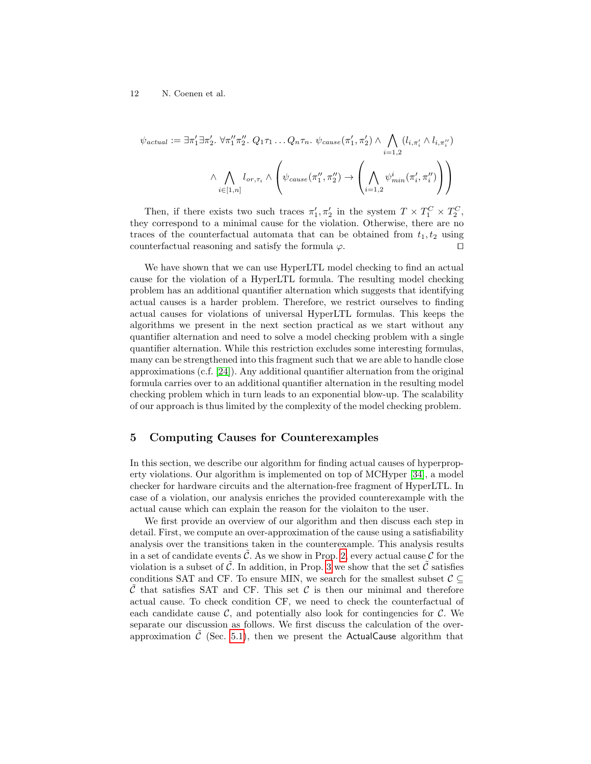$$
\psi_{actual} := \exists \pi'_1 \exists \pi'_2. \ \forall \pi''_1 \pi''_2. \ Q_1 \tau_1 \dots Q_n \tau_n. \ \psi_{cause}(\pi'_1, \pi'_2) \land \bigwedge_{i=1,2} (l_{i, \pi'_i} \land l_{i, \pi''_i})
$$

$$
\land \bigwedge_{i \in [1,n]} l_{or, \tau_i} \land \left(\psi_{cause}(\pi''_1, \pi''_2) \rightarrow \left(\bigwedge_{i=1,2} \psi^i_{min}(\pi'_i, \pi''_i)\right)\right)
$$

Then, if there exists two such traces  $\pi'_1, \pi'_2$  in the system  $T \times T_1^C \times T_2^C$ , they correspond to a minimal cause for the violation. Otherwise, there are no traces of the counterfactual automata that can be obtained from  $t_1, t_2$  using counterfactual reasoning and satisfy the formula  $\varphi$ .

We have shown that we can use HyperLTL model checking to find an actual cause for the violation of a HyperLTL formula. The resulting model checking problem has an additional quantifier alternation which suggests that identifying actual causes is a harder problem. Therefore, we restrict ourselves to finding actual causes for violations of universal HyperLTL formulas. This keeps the algorithms we present in the next section practical as we start without any quantifier alternation and need to solve a model checking problem with a single quantifier alternation. While this restriction excludes some interesting formulas, many can be strengthened into this fragment such that we are able to handle close approximations (c.f. [\[24\]](#page-19-12)). Any additional quantifier alternation from the original formula carries over to an additional quantifier alternation in the resulting model checking problem which in turn leads to an exponential blow-up. The scalability of our approach is thus limited by the complexity of the model checking problem.

### <span id="page-11-0"></span>5 Computing Causes for Counterexamples

In this section, we describe our algorithm for finding actual causes of hyperproperty violations. Our algorithm is implemented on top of MCHyper [\[34\]](#page-20-6), a model checker for hardware circuits and the alternation-free fragment of HyperLTL. In case of a violation, our analysis enriches the provided counterexample with the actual cause which can explain the reason for the violaiton to the user.

We first provide an overview of our algorithm and then discuss each step in detail. First, we compute an over-approximation of the cause using a satisfiability analysis over the transitions taken in the counterexample. This analysis results in a set of candidate events  $\tilde{\mathcal{C}}$ . As we show in Prop. [2,](#page-13-0) every actual cause  $\mathcal{C}$  for the violation is a subset of  $\tilde{\mathcal{C}}$ . In addition, in Prop. [3](#page-13-1) we show that the set  $\tilde{\mathcal{C}}$  satisfies conditions SAT and CF. To ensure MIN, we search for the smallest subset  $\mathcal{C} \subseteq$ C that satisfies SAT and CF. This set C is then our minimal and therefore actual cause. To check condition CF, we need to check the counterfactual of each candidate cause  $\mathcal{C}$ , and potentially also look for contingencies for  $\mathcal{C}$ . We separate our discussion as follows. We first discuss the calculation of the overapproximation  $\tilde{\mathcal{C}}$  (Sec. [5.1\)](#page-12-0), then we present the ActualCause algorithm that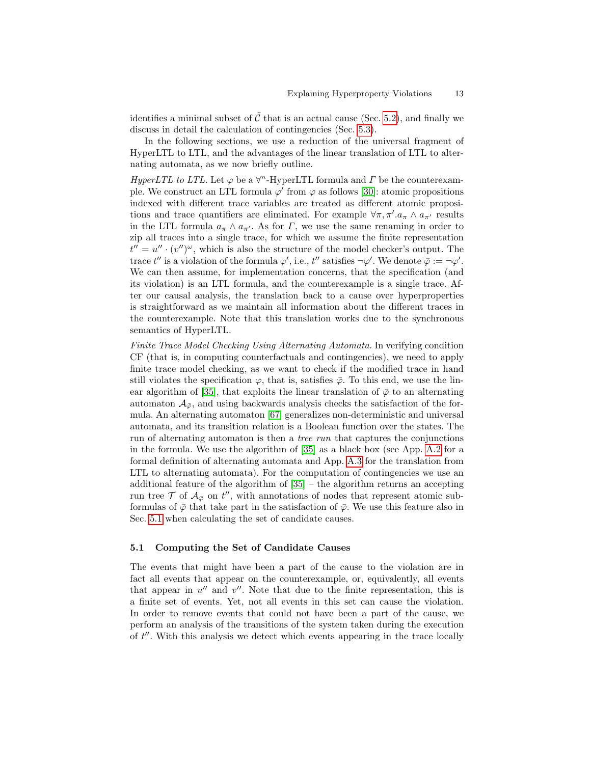identifies a minimal subset of  $\tilde{\mathcal{C}}$  that is an actual cause (Sec. [5.2\)](#page-14-0), and finally we discuss in detail the calculation of contingencies (Sec. [5.3\)](#page-15-0).

In the following sections, we use a reduction of the universal fragment of HyperLTL to LTL, and the advantages of the linear translation of LTL to alternating automata, as we now briefly outline.

HyperLTL to LTL. Let  $\varphi$  be a  $\forall^n$ -HyperLTL formula and  $\Gamma$  be the counterexample. We construct an LTL formula  $\varphi'$  from  $\varphi$  as follows [\[30\]](#page-19-13): atomic propositions indexed with different trace variables are treated as different atomic propositions and trace quantifiers are eliminated. For example  $\forall \pi, \pi'.a_{\pi} \wedge a_{\pi'}$  results in the LTL formula  $a_{\pi} \wedge a_{\pi'}$ . As for  $\Gamma$ , we use the same renaming in order to zip all traces into a single trace, for which we assume the finite representation  $t'' = u'' \cdot (v'')^{\omega}$ , which is also the structure of the model checker's output. The trace t'' is a violation of the formula  $\varphi'$ , i.e., t'' satisfies  $\neg \varphi'$ . We denote  $\bar{\varphi} := \neg \varphi'$ . We can then assume, for implementation concerns, that the specification (and its violation) is an LTL formula, and the counterexample is a single trace. After our causal analysis, the translation back to a cause over hyperproperties is straightforward as we maintain all information about the different traces in the counterexample. Note that this translation works due to the synchronous semantics of HyperLTL.

Finite Trace Model Checking Using Alternating Automata. In verifying condition CF (that is, in computing counterfactuals and contingencies), we need to apply finite trace model checking, as we want to check if the modified trace in hand still violates the specification  $\varphi$ , that is, satisfies  $\overline{\varphi}$ . To this end, we use the lin-ear algorithm of [\[35\]](#page-20-11), that exploits the linear translation of  $\bar{\varphi}$  to an alternating automaton  $\mathcal{A}_{\bar{\varphi}}$ , and using backwards analysis checks the satisfaction of the formula. An alternating automaton [\[67\]](#page-21-7) generalizes non-deterministic and universal automata, and its transition relation is a Boolean function over the states. The run of alternating automaton is then a tree run that captures the conjunctions in the formula. We use the algorithm of [\[35\]](#page-20-11) as a black box (see App. [A.2](#page-23-0) for a formal definition of alternating automata and App. [A.3](#page-23-1) for the translation from LTL to alternating automata). For the computation of contingencies we use an additional feature of the algorithm of [\[35\]](#page-20-11) – the algorithm returns an accepting run tree  $\mathcal T$  of  $\mathcal A_{\bar{\varphi}}$  on  $t''$ , with annotations of nodes that represent atomic subformulas of  $\bar{\varphi}$  that take part in the satisfaction of  $\bar{\varphi}$ . We use this feature also in Sec. [5.1](#page-12-0) when calculating the set of candidate causes.

### <span id="page-12-0"></span>5.1 Computing the Set of Candidate Causes

The events that might have been a part of the cause to the violation are in fact all events that appear on the counterexample, or, equivalently, all events that appear in  $u''$  and  $v''$ . Note that due to the finite representation, this is a finite set of events. Yet, not all events in this set can cause the violation. In order to remove events that could not have been a part of the cause, we perform an analysis of the transitions of the system taken during the execution of  $t''$ . With this analysis we detect which events appearing in the trace locally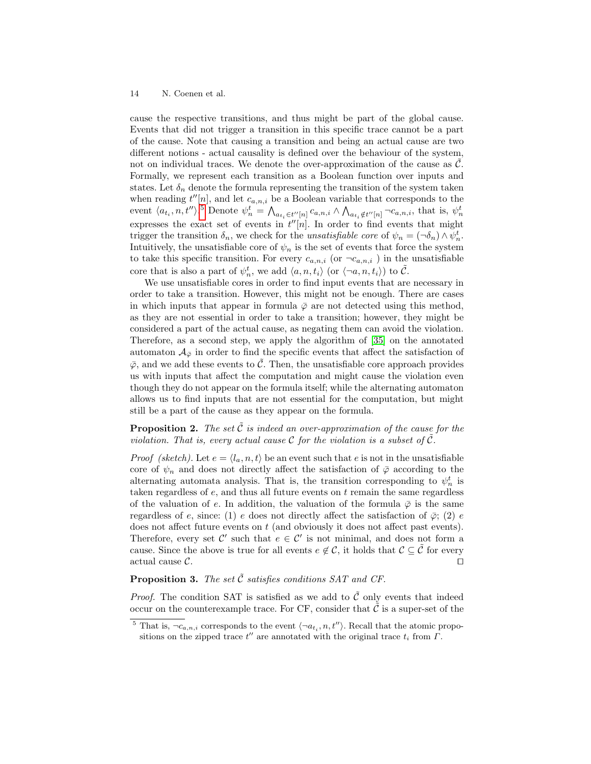cause the respective transitions, and thus might be part of the global cause. Events that did not trigger a transition in this specific trace cannot be a part of the cause. Note that causing a transition and being an actual cause are two different notions - actual causality is defined over the behaviour of the system, not on individual traces. We denote the over-approximation of the cause as  $\mathcal{C}$ . Formally, we represent each transition as a Boolean function over inputs and states. Let  $\delta_n$  denote the formula representing the transition of the system taken when reading  $t''[n]$ , and let  $c_{a,n,i}$  be a Boolean variable that corresponds to the event  $\langle a_{t_i}, n, t'' \rangle$ .<sup>[5](#page-13-2)</sup> Denote  $\psi_n^t = \bigwedge_{a_{t_i} \in t''[n]} c_{a,n,i} \wedge \bigwedge_{a_{t_i} \notin t''[n]} \neg c_{a,n,i}$ , that is,  $\psi_n^t$ expresses the exact set of events in  $t''[n]$ . In order to find events that might trigger the transition  $\delta_n$ , we check for the *unsatisfiable core* of  $\psi_n = (\neg \delta_n) \wedge \psi_n^t$ . Intuitively, the unsatisfiable core of  $\psi_n$  is the set of events that force the system to take this specific transition. For every  $c_{a,n,i}$  (or  $\neg c_{a,n,i}$ ) in the unsatisfiable core that is also a part of  $\psi_n^t$ , we add  $\langle a, n, t_i \rangle$  (or  $\langle \neg a, n, t_i \rangle$ ) to  $\tilde{C}$ .

We use unsatisfiable cores in order to find input events that are necessary in order to take a transition. However, this might not be enough. There are cases in which inputs that appear in formula  $\bar{\varphi}$  are not detected using this method, as they are not essential in order to take a transition; however, they might be considered a part of the actual cause, as negating them can avoid the violation. Therefore, as a second step, we apply the algorithm of [\[35\]](#page-20-11) on the annotated automaton  $\mathcal{A}_{\bar{\varphi}}$  in order to find the specific events that affect the satisfaction of  $\bar{\varphi}$ , and we add these events to  $\tilde{\mathcal{C}}$ . Then, the unsatisfiable core approach provides us with inputs that affect the computation and might cause the violation even though they do not appear on the formula itself; while the alternating automaton allows us to find inputs that are not essential for the computation, but might still be a part of the cause as they appear on the formula.

<span id="page-13-0"></span>**Proposition 2.** The set  $\tilde{\mathcal{C}}$  is indeed an over-approximation of the cause for the violation. That is, every actual cause  $\mathcal C$  for the violation is a subset of  $\tilde{\mathcal C}$ .

*Proof (sketch)*. Let  $e = \langle l_a, n, t \rangle$  be an event such that e is not in the unsatisfiable core of  $\psi_n$  and does not directly affect the satisfaction of  $\bar{\varphi}$  according to the alternating automata analysis. That is, the transition corresponding to  $\psi_n^t$  is taken regardless of  $e$ , and thus all future events on  $t$  remain the same regardless of the valuation of e. In addition, the valuation of the formula  $\bar{\varphi}$  is the same regardless of e, since: (1) e does not directly affect the satisfaction of  $\bar{\varphi}$ ; (2) e does not affect future events on  $t$  (and obviously it does not affect past events). Therefore, every set  $\mathcal{C}'$  such that  $e \in \mathcal{C}'$  is not minimal, and does not form a cause. Since the above is true for all events  $e \notin \mathcal{C}$ , it holds that  $\mathcal{C} \subseteq \mathcal{C}$  for every actual cause  $\mathcal{C}.$ 

<span id="page-13-1"></span>**Proposition 3.** The set  $\tilde{C}$  satisfies conditions SAT and CF.

*Proof.* The condition SAT is satisfied as we add to  $\tilde{C}$  only events that indeed occur on the counterexample trace. For CF, consider that  $\mathcal C$  is a super-set of the

<span id="page-13-2"></span><sup>&</sup>lt;sup>5</sup> That is,  $\neg c_{a,n,i}$  corresponds to the event  $\langle \neg a_{t_i}, n, t'' \rangle$ . Recall that the atomic propositions on the zipped trace  $t''$  are annotated with the original trace  $t_i$  from  $\Gamma$ .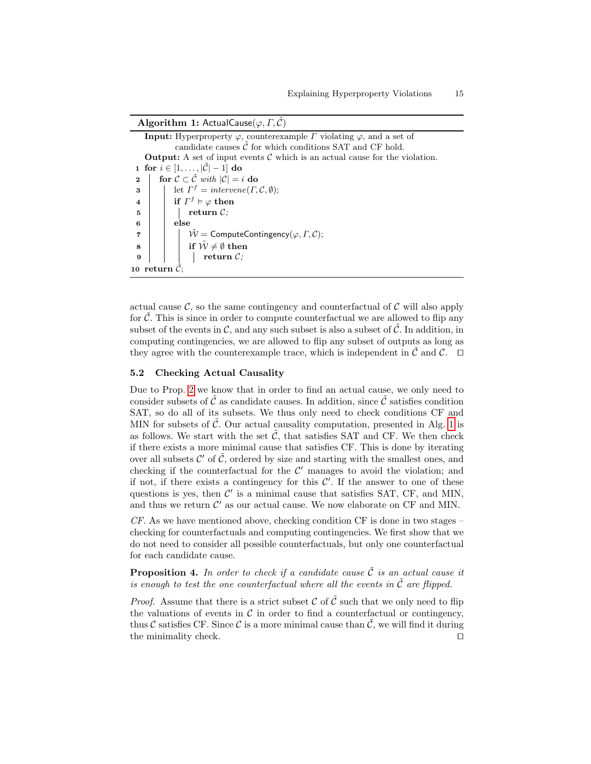**Algorithm 1:** ActualCause( $\varphi, \Gamma, \tilde{\mathcal{C}}$ )

**Input:** Hyperproperty  $\varphi$ , counterexample  $\Gamma$  violating  $\varphi$ , and a set of candidate causes  $\tilde{\mathcal{C}}$  for which conditions SAT and CF hold. **Output:** A set of input events  $\mathcal C$  which is an actual cause for the violation. 1 for  $i \in [1, \ldots, |\mathcal{C}|-1]$  do 2  $\vert$  for  $C \subset \tilde{C}$  with  $|C| = i$  do **3** | let  $\Gamma^f$  = intervene( $\Gamma, \mathcal{C}, \emptyset$ );  $\begin{array}{cc} \textbf{4} & | & \textbf{if} \ \Gamma^f \vDash \varphi \textbf{ then} \end{array}$  $5 \mid \cdot \cdot \cdot \cdot \cdot$  return  $\mathcal{C}$ ;  $6$  | else  $7$  | |  $\tilde{W}$  = ComputeContingency( $\varphi, \Gamma, \mathcal{C}$ ); 8 if  $\tilde{W} \neq \emptyset$  then  $9 \mid \cdot \cdot \cdot \cdot \cdot$  return  $\mathcal{C}$ ; 10 return  $\mathcal{C}$ ;

<span id="page-14-1"></span>actual cause  $\mathcal{C}$ , so the same contingency and counterfactual of  $\mathcal{C}$  will also apply for  $\hat{\mathcal{C}}$ . This is since in order to compute counterfactual we are allowed to flip any subset of the events in  $\mathcal{C}$ , and any such subset is also a subset of  $\tilde{\mathcal{C}}$ . In addition, in computing contingencies, we are allowed to flip any subset of outputs as long as they agree with the counterexample trace, which is independent in  $\tilde{\mathcal{C}}$  and  $\mathcal{C}$ .  $\Box$ 

#### <span id="page-14-0"></span>5.2 Checking Actual Causality

Due to Prop. [2](#page-13-0) we know that in order to find an actual cause, we only need to consider subsets of  $\tilde{\mathcal{C}}$  as candidate causes. In addition, since  $\tilde{\mathcal{C}}$  satisfies condition SAT, so do all of its subsets. We thus only need to check conditions CF and MIN for subsets of  $\tilde{C}$ . Our actual causality computation, presented in Alg. [1](#page-14-1) is as follows. We start with the set  $\tilde{C}$ , that satisfies SAT and CF. We then check if there exists a more minimal cause that satisfies CF. This is done by iterating over all subsets  $\mathcal{C}'$  of  $\tilde{\mathcal{C}}$ , ordered by size and starting with the smallest ones, and checking if the counterfactual for the  $\mathcal{C}'$  manages to avoid the violation; and if not, if there exists a contingency for this  $\mathcal{C}'$ . If the answer to one of these questions is yes, then  $C'$  is a minimal cause that satisfies SAT, CF, and MIN, and thus we return  $\mathcal{C}'$  as our actual cause. We now elaborate on CF and MIN.

CF. As we have mentioned above, checking condition CF is done in two stages – checking for counterfactuals and computing contingencies. We first show that we do not need to consider all possible counterfactuals, but only one counterfactual for each candidate cause.

**Proposition 4.** In order to check if a candidate cause  $\tilde{C}$  is an actual cause it is enough to test the one counterfactual where all the events in  $\tilde{\mathcal{C}}$  are flipped.

*Proof.* Assume that there is a strict subset C of  $\tilde{C}$  such that we only need to flip the valuations of events in  $\mathcal C$  in order to find a counterfactual or contingency, thus  $\mathcal C$  satisfies CF. Since  $\mathcal C$  is a more minimal cause than  $\mathcal C$ , we will find it during the minimality check.  $\Box$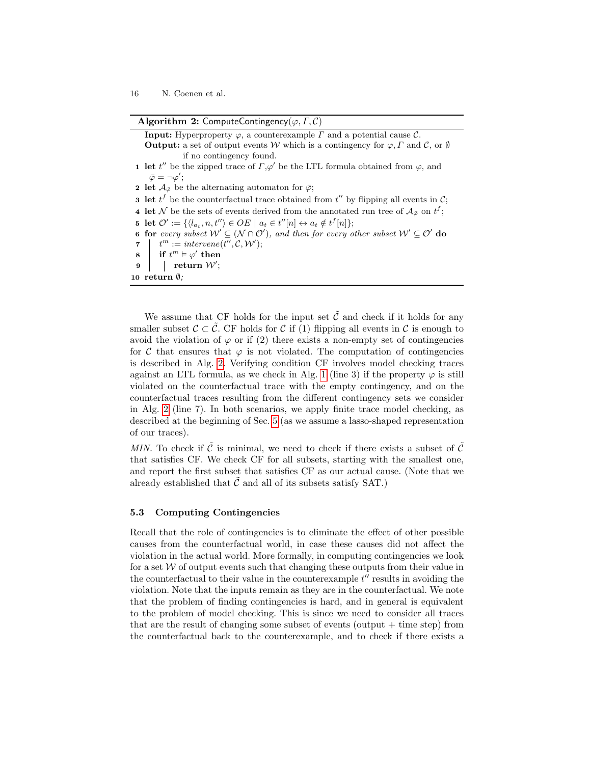Algorithm 2: ComputeContingency( $\varphi, \Gamma, C$ )

<span id="page-15-2"></span>**Input:** Hyperproperty  $\varphi$ , a counterexample  $\Gamma$  and a potential cause  $\mathcal{C}$ . **Output:** a set of output events W which is a contingency for  $\varphi$ ,  $\Gamma$  and  $\mathcal{C}$ , or  $\emptyset$ if no contingency found. 1 let t'' be the zipped trace of  $\Gamma, \varphi'$  be the LTL formula obtained from  $\varphi$ , and  $\bar{\varphi} = \neg \varphi';$ 2 let  $\mathcal{A}_{\bar{\varphi}}$  be the alternating automaton for  $\bar{\varphi}$ ; **3** let  $t^f$  be the counterfactual trace obtained from  $t''$  by flipping all events in  $\mathcal{C}$ ; 4 let N be the sets of events derived from the annotated run tree of  $\mathcal{A}_{\bar{\varphi}}$  on  $t^f$ ; 5 let  $\mathcal{O}' := \{ \langle l_{a_t}, n, t'' \rangle \in OE \mid a_t \in t''[n] \leftrightarrow a_t \notin t^f[n] \};$ 6 for every subset  $W' \subseteq (N \cap \mathcal{O}')$ , and then for every other subset  $W' \subseteq \mathcal{O}'$  do 7  $t^m :=$  intervene(t'', C, W');  $\textbf{s} \quad | \quad \text{if } t^m \vDash \varphi' \text{ then}$  $9 \mid \quad | \quad \text{return } \mathcal{W}';$ 10 return  $\emptyset$ ;

<span id="page-15-3"></span><span id="page-15-1"></span>We assume that CF holds for the input set  $\tilde{C}$  and check if it holds for any smaller subset  $\mathcal{C} \subset \tilde{\mathcal{C}}$ . CF holds for C if (1) flipping all events in C is enough to avoid the violation of  $\varphi$  or if (2) there exists a non-empty set of contingencies for C that ensures that  $\varphi$  is not violated. The computation of contingencies is described in Alg. [2.](#page-15-1) Verifying condition CF involves model checking traces against an LTL formula, as we check in Alg. [1](#page-14-1) (line 3) if the property  $\varphi$  is still violated on the counterfactual trace with the empty contingency, and on the counterfactual traces resulting from the different contingency sets we consider in Alg. [2](#page-15-1) (line 7). In both scenarios, we apply finite trace model checking, as described at the beginning of Sec. [5](#page-11-0) (as we assume a lasso-shaped representation of our traces).

MIN. To check if C is minimal, we need to check if there exists a subset of C that satisfies CF. We check CF for all subsets, starting with the smallest one, and report the first subset that satisfies CF as our actual cause. (Note that we already established that  $\mathcal C$  and all of its subsets satisfy SAT.)

### <span id="page-15-0"></span>5.3 Computing Contingencies

Recall that the role of contingencies is to eliminate the effect of other possible causes from the counterfactual world, in case these causes did not affect the violation in the actual world. More formally, in computing contingencies we look for a set  $W$  of output events such that changing these outputs from their value in the counterfactual to their value in the counterexample  $t''$  results in avoiding the violation. Note that the inputs remain as they are in the counterfactual. We note that the problem of finding contingencies is hard, and in general is equivalent to the problem of model checking. This is since we need to consider all traces that are the result of changing some subset of events (output  $+$  time step) from the counterfactual back to the counterexample, and to check if there exists a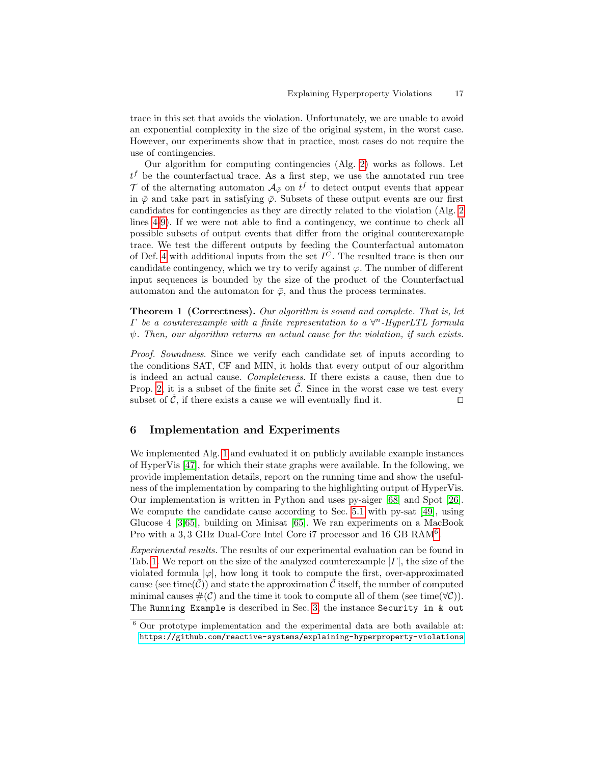trace in this set that avoids the violation. Unfortunately, we are unable to avoid an exponential complexity in the size of the original system, in the worst case. However, our experiments show that in practice, most cases do not require the use of contingencies.

Our algorithm for computing contingencies (Alg. [2\)](#page-15-1) works as follows. Let  $t<sup>f</sup>$  be the counterfactual trace. As a first step, we use the annotated run tree  $\mathcal T$  of the alternating automaton  $\mathcal A_{\bar{\varphi}}$  on  $t^f$  to detect output events that appear in  $\bar{\varphi}$  and take part in satisfying  $\bar{\varphi}$ . Subsets of these output events are our first candidates for contingencies as they are directly related to the violation (Alg. [2](#page-15-1) lines [4-](#page-15-2)[9\)](#page-15-3). If we were not able to find a contingency, we continue to check all possible subsets of output events that differ from the original counterexample trace. We test the different outputs by feeding the Counterfactual automaton of Def. [4](#page-6-0) with additional inputs from the set  $I^C$ . The resulted trace is then our candidate contingency, which we try to verify against  $\varphi$ . The number of different input sequences is bounded by the size of the product of the Counterfactual automaton and the automaton for  $\bar{\varphi}$ , and thus the process terminates.

Theorem 1 (Correctness). Our algorithm is sound and complete. That is, let  $\Gamma$  be a counterexample with a finite representation to a  $\forall^n$ -HyperLTL formula  $\psi$ . Then, our algorithm returns an actual cause for the violation, if such exists.

Proof. Soundness. Since we verify each candidate set of inputs according to the conditions SAT, CF and MIN, it holds that every output of our algorithm is indeed an actual cause. Completeness. If there exists a cause, then due to Prop. [2,](#page-13-0) it is a subset of the finite set  $\tilde{\mathcal{C}}$ . Since in the worst case we test every subset of  $\tilde{\mathcal{C}}$ , if there exists a cause we will eventually find it.

# 6 Implementation and Experiments

We implemented Alg. [1](#page-14-1) and evaluated it on publicly available example instances of HyperVis [\[47\]](#page-20-8), for which their state graphs were available. In the following, we provide implementation details, report on the running time and show the usefulness of the implementation by comparing to the highlighting output of HyperVis. Our implementation is written in Python and uses py-aiger [\[68\]](#page-21-8) and Spot [\[26\]](#page-19-14). We compute the candidate cause according to Sec. [5.1](#page-12-0) with py-sat [\[49\]](#page-20-12), using Glucose 4 [\[3,](#page-18-1)[65\]](#page-21-9), building on Minisat [\[65\]](#page-21-9). We ran experiments on a MacBook Pro with a 3, 3 GHz Dual-Core Intel Core i7 processor and 1[6](#page-16-0) GB RAM<sup>6</sup>.

Experimental results. The results of our experimental evaluation can be found in Tab. [1.](#page-17-0) We report on the size of the analyzed counterexample |Γ|, the size of the violated formula  $|\varphi|$ , how long it took to compute the first, over-approximated cause (see time( $\mathcal{C}$ )) and state the approximation  $\mathcal{C}$  itself, the number of computed minimal causes  $\#(\mathcal{C})$  and the time it took to compute all of them (see time( $\forall \mathcal{C}$ )). The Running Example is described in Sec. [3,](#page-4-0) the instance Security in & out

<span id="page-16-0"></span> $6$  Our prototype implementation and the experimental data are both available at: <https://github.com/reactive-systems/explaining-hyperproperty-violations>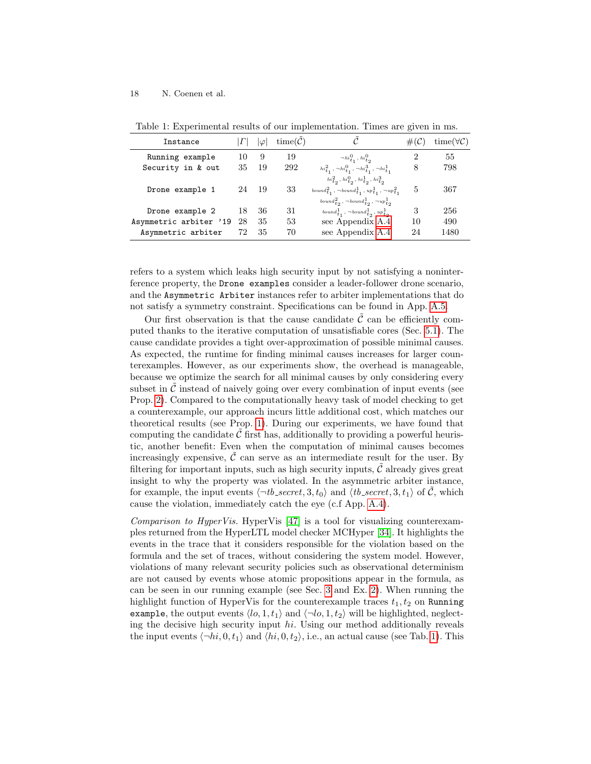| Instance               |    | lφl | $time(\mathcal{C})$ | $\curvearrowright$                                                                                                                                                                                   | $#({\cal C})$ | $time(\forall \mathcal{C})$ |
|------------------------|----|-----|---------------------|------------------------------------------------------------------------------------------------------------------------------------------------------------------------------------------------------|---------------|-----------------------------|
| Running example        | 10 | 9   | 19                  | $\neg hi^0_{t_1}, hi^0_{t_2}$                                                                                                                                                                        | 2             | 55                          |
| Security in & out      | 35 | 19  | 292                 | $hi^2_{t_1}$ , $\neg hi^0_{t_1}$ , $\neg hi^3_{t_1}$ , $\neg hi^1_{t_1}$                                                                                                                             | 8             | 798                         |
| Drone example 1        | 24 | -19 | 33                  | $hi_{t_2}^2$ , $hi_{t_2}^0$ , $hi_{t_2}^1$ , $hi_{t_2}^3$<br>$bound_{t_1}^2$ , $\neg bound_{t_1}^1$ , $up_{t_1}^1$ , $\neg up_{t_1}^2$<br>$bound_{t_2}^2$ , $\neg bound_{t_2}^1$ , $\neg up_{t_2}^1$ | 5             | 367                         |
| Drone example 2        | 18 | 36  | 31                  | bound $\frac{1}{t_1}$ , $\neg bound_{t_2}^1$ , $up_{t_2}^1$                                                                                                                                          | 3             | 256                         |
| Asymmetric arbiter '19 | 28 | 35  | 53                  | see Appendix A.4                                                                                                                                                                                     | 10            | 490                         |
| Asymmetric arbiter     | 72 | 35  | 70                  | see Appendix A.4                                                                                                                                                                                     | 24            | 1480                        |

<span id="page-17-0"></span>Table 1: Experimental results of our implementation. Times are given in ms.

refers to a system which leaks high security input by not satisfying a noninterference property, the Drone examples consider a leader-follower drone scenario, and the Asymmetric Arbiter instances refer to arbiter implementations that do not satisfy a symmetry constraint. Specifications can be found in App. [A.5.](#page-24-0)

Our first observation is that the cause candidate  $\tilde{\mathcal{C}}$  can be efficiently computed thanks to the iterative computation of unsatisfiable cores (Sec. [5.1\)](#page-12-0). The cause candidate provides a tight over-approximation of possible minimal causes. As expected, the runtime for finding minimal causes increases for larger counterexamples. However, as our experiments show, the overhead is manageable, because we optimize the search for all minimal causes by only considering every subset in  $\mathcal C$  instead of naively going over every combination of input events (see Prop. [2\)](#page-13-0). Compared to the computationally heavy task of model checking to get a counterexample, our approach incurs little additional cost, which matches our theoretical results (see Prop. [1\)](#page-9-0). During our experiments, we have found that computing the candidate  $\tilde{\mathcal{C}}$  first has, additionally to providing a powerful heuristic, another benefit: Even when the computation of minimal causes becomes increasingly expensive,  $\tilde{\mathcal{C}}$  can serve as an intermediate result for the user. By filtering for important inputs, such as high security inputs,  $\mathcal C$  already gives great insight to why the property was violated. In the asymmetric arbiter instance, for example, the input events  $\langle \neg \textit{tb\_secret}, 3, t_0 \rangle$  and  $\langle \textit{tb\_secret}, 3, t_1 \rangle$  of  $\tilde{C}$ , which cause the violation, immediately catch the eye (c.f App. [A.4\)](#page-23-2).

Comparison to HyperVis. HyperVis [\[47\]](#page-20-8) is a tool for visualizing counterexamples returned from the HyperLTL model checker MCHyper [\[34\]](#page-20-6). It highlights the events in the trace that it considers responsible for the violation based on the formula and the set of traces, without considering the system model. However, violations of many relevant security policies such as observational determinism are not caused by events whose atomic propositions appear in the formula, as can be seen in our running example (see Sec. [3](#page-4-0) and Ex. [2\)](#page-8-0). When running the highlight function of HyperVis for the counterexample traces  $t_1, t_2$  on Running example, the output events  $\langle lo, 1, t_1 \rangle$  and  $\langle \neg lo, 1, t_2 \rangle$  will be highlighted, neglecting the decisive high security input hi. Using our method additionally reveals the input events  $\langle \neg hi, 0, t_1 \rangle$  and  $\langle hi, 0, t_2 \rangle$ , i.e., an actual cause (see Tab. [1\)](#page-17-0). This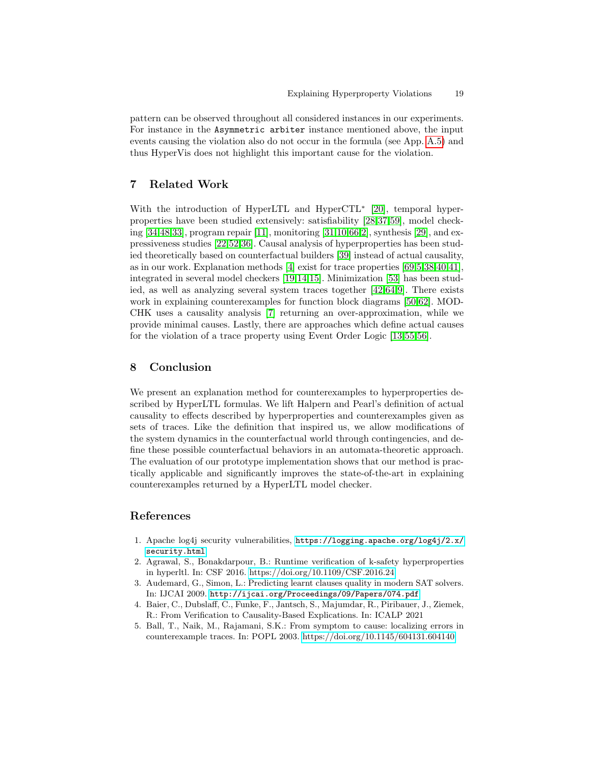pattern can be observed throughout all considered instances in our experiments. For instance in the Asymmetric arbiter instance mentioned above, the input events causing the violation also do not occur in the formula (see App. [A.5\)](#page-24-0) and thus HyperVis does not highlight this important cause for the violation.

# 7 Related Work

With the introduction of HyperLTL and HyperCTL<sup>\*</sup> [\[20\]](#page-19-6), temporal hyperproperties have been studied extensively: satisfiability [\[28,](#page-19-15)[37](#page-20-13)[,59\]](#page-21-10), model checking [\[34,](#page-20-6)[48,](#page-20-7)[33\]](#page-20-14), program repair [\[11\]](#page-19-16), monitoring [\[31](#page-20-15)[,10,](#page-19-17)[66,](#page-21-11)[2\]](#page-18-2), synthesis [\[29\]](#page-19-18), and expressiveness studies [\[22](#page-19-19)[,52,](#page-20-16)[36\]](#page-20-10). Causal analysis of hyperproperties has been studied theoretically based on counterfactual builders [\[39\]](#page-20-17) instead of actual causality, as in our work. Explanation methods  $[4]$  exist for trace properties  $[69,5,38,40,41]$  $[69,5,38,40,41]$  $[69,5,38,40,41]$  $[69,5,38,40,41]$  $[69,5,38,40,41]$ , integrated in several model checkers [\[19,](#page-19-20)[14,](#page-19-21)[15\]](#page-19-22). Minimization [\[53\]](#page-21-13) has been studied, as well as analyzing several system traces together [\[42,](#page-20-20)[64](#page-21-14)[,9\]](#page-19-23). There exists work in explaining counterexamples for function block diagrams [\[50,](#page-20-21)[62\]](#page-21-15). MOD-CHK uses a causality analysis [\[7\]](#page-19-24) returning an over-approximation, while we provide minimal causes. Lastly, there are approaches which define actual causes for the violation of a trace property using Event Order Logic [\[13,](#page-19-7)[55](#page-21-16)[,56\]](#page-21-17).

# 8 Conclusion

We present an explanation method for counterexamples to hyperproperties described by HyperLTL formulas. We lift Halpern and Pearl's definition of actual causality to effects described by hyperproperties and counterexamples given as sets of traces. Like the definition that inspired us, we allow modifications of the system dynamics in the counterfactual world through contingencies, and define these possible counterfactual behaviors in an automata-theoretic approach. The evaluation of our prototype implementation shows that our method is practically applicable and significantly improves the state-of-the-art in explaining counterexamples returned by a HyperLTL model checker.

# References

- <span id="page-18-0"></span>1. Apache log4j security vulnerabilities, [https://logging.apache.org/log4j/2.x/](https://logging.apache.org/log4j/2.x/security.html) [security.html](https://logging.apache.org/log4j/2.x/security.html)
- <span id="page-18-2"></span>2. Agrawal, S., Bonakdarpour, B.: Runtime verification of k-safety hyperproperties in hyperltl. In: CSF 2016.<https://doi.org/10.1109/CSF.2016.24>
- <span id="page-18-1"></span>3. Audemard, G., Simon, L.: Predicting learnt clauses quality in modern SAT solvers. In: IJCAI 2009. <http://ijcai.org/Proceedings/09/Papers/074.pdf>
- <span id="page-18-3"></span>4. Baier, C., Dubslaff, C., Funke, F., Jantsch, S., Majumdar, R., Piribauer, J., Ziemek, R.: From Verification to Causality-Based Explications. In: ICALP 2021
- <span id="page-18-4"></span>5. Ball, T., Naik, M., Rajamani, S.K.: From symptom to cause: localizing errors in counterexample traces. In: POPL 2003.<https://doi.org/10.1145/604131.604140>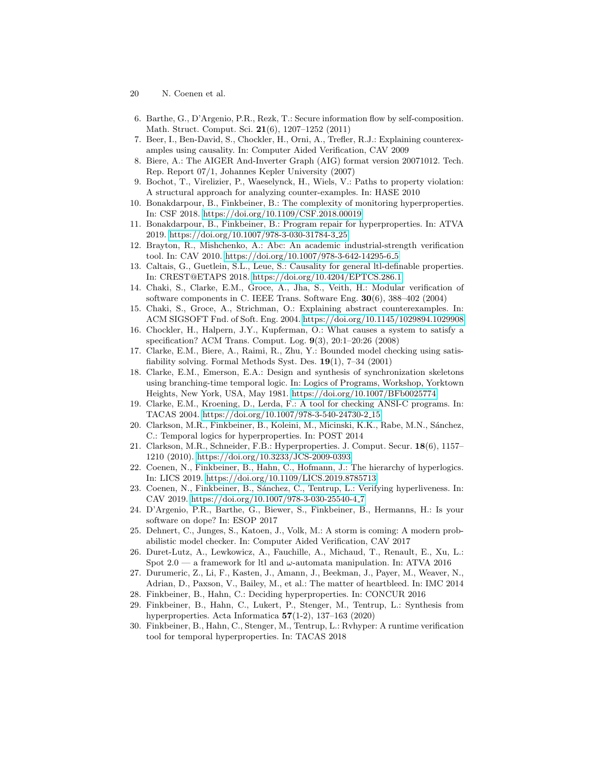- 20 N. Coenen et al.
- <span id="page-19-10"></span>6. Barthe, G., D'Argenio, P.R., Rezk, T.: Secure information flow by self-composition. Math. Struct. Comput. Sci. 21(6), 1207–1252 (2011)
- <span id="page-19-24"></span>7. Beer, I., Ben-David, S., Chockler, H., Orni, A., Trefler, R.J.: Explaining counterexamples using causality. In: Computer Aided Verification, CAV 2009
- <span id="page-19-9"></span>8. Biere, A.: The AIGER And-Inverter Graph (AIG) format version 20071012. Tech. Rep. Report 07/1, Johannes Kepler University (2007)
- <span id="page-19-23"></span>9. Bochot, T., Virelizier, P., Waeselynck, H., Wiels, V.: Paths to property violation: A structural approach for analyzing counter-examples. In: HASE 2010
- <span id="page-19-17"></span>10. Bonakdarpour, B., Finkbeiner, B.: The complexity of monitoring hyperproperties. In: CSF 2018.<https://doi.org/10.1109/CSF.2018.00019>
- <span id="page-19-16"></span>11. Bonakdarpour, B., Finkbeiner, B.: Program repair for hyperproperties. In: ATVA 2019. [https://doi.org/10.1007/978-3-030-31784-3](https://doi.org/10.1007/978-3-030-31784-3_25) 25
- <span id="page-19-3"></span>12. Brayton, R., Mishchenko, A.: Abc: An academic industrial-strength verification tool. In: CAV 2010. [https://doi.org/10.1007/978-3-642-14295-6](https://doi.org/10.1007/978-3-642-14295-6_5) 5
- <span id="page-19-7"></span>13. Caltais, G., Guetlein, S.L., Leue, S.: Causality for general ltl-definable properties. In: CREST@ETAPS 2018.<https://doi.org/10.4204/EPTCS.286.1>
- <span id="page-19-21"></span>14. Chaki, S., Clarke, E.M., Groce, A., Jha, S., Veith, H.: Modular verification of software components in C. IEEE Trans. Software Eng. 30(6), 388–402 (2004)
- <span id="page-19-22"></span>15. Chaki, S., Groce, A., Strichman, O.: Explaining abstract counterexamples. In: ACM SIGSOFT Fnd. of Soft. Eng. 2004.<https://doi.org/10.1145/1029894.1029908>
- <span id="page-19-11"></span>16. Chockler, H., Halpern, J.Y., Kupferman, O.: What causes a system to satisfy a specification? ACM Trans. Comput. Log. 9(3), 20:1–20:26 (2008)
- <span id="page-19-1"></span>17. Clarke, E.M., Biere, A., Raimi, R., Zhu, Y.: Bounded model checking using satisfiability solving. Formal Methods Syst. Des. 19(1), 7–34 (2001)
- <span id="page-19-0"></span>18. Clarke, E.M., Emerson, E.A.: Design and synthesis of synchronization skeletons using branching-time temporal logic. In: Logics of Programs, Workshop, Yorktown Heights, New York, USA, May 1981.<https://doi.org/10.1007/BFb0025774>
- <span id="page-19-20"></span>19. Clarke, E.M., Kroening, D., Lerda, F.: A tool for checking ANSI-C programs. In: TACAS 2004. [https://doi.org/10.1007/978-3-540-24730-2](https://doi.org/10.1007/978-3-540-24730-2_15) 15
- <span id="page-19-6"></span>20. Clarkson, M.R., Finkbeiner, B., Koleini, M., Micinski, K.K., Rabe, M.N., Sánchez, C.: Temporal logics for hyperproperties. In: POST 2014
- <span id="page-19-5"></span>21. Clarkson, M.R., Schneider, F.B.: Hyperproperties. J. Comput. Secur. 18(6), 1157– 1210 (2010).<https://doi.org/10.3233/JCS-2009-0393>
- <span id="page-19-19"></span>22. Coenen, N., Finkbeiner, B., Hahn, C., Hofmann, J.: The hierarchy of hyperlogics. In: LICS 2019.<https://doi.org/10.1109/LICS.2019.8785713>
- <span id="page-19-8"></span>23. Coenen, N., Finkbeiner, B., Sánchez, C., Tentrup, L.: Verifying hyperliveness. In: CAV 2019. [https://doi.org/10.1007/978-3-030-25540-4](https://doi.org/10.1007/978-3-030-25540-4_7) 7
- <span id="page-19-12"></span>24. D'Argenio, P.R., Barthe, G., Biewer, S., Finkbeiner, B., Hermanns, H.: Is your software on dope? In: ESOP 2017
- <span id="page-19-2"></span>25. Dehnert, C., Junges, S., Katoen, J., Volk, M.: A storm is coming: A modern probabilistic model checker. In: Computer Aided Verification, CAV 2017
- <span id="page-19-14"></span>26. Duret-Lutz, A., Lewkowicz, A., Fauchille, A., Michaud, T., Renault, E., Xu, L.: Spot 2.0 — a framework for ltl and  $\omega$ -automata manipulation. In: ATVA 2016
- <span id="page-19-4"></span>27. Durumeric, Z., Li, F., Kasten, J., Amann, J., Beekman, J., Payer, M., Weaver, N., Adrian, D., Paxson, V., Bailey, M., et al.: The matter of heartbleed. In: IMC 2014
- <span id="page-19-15"></span>28. Finkbeiner, B., Hahn, C.: Deciding hyperproperties. In: CONCUR 2016
- <span id="page-19-18"></span>29. Finkbeiner, B., Hahn, C., Lukert, P., Stenger, M., Tentrup, L.: Synthesis from hyperproperties. Acta Informatica  $57(1-2)$ , 137-163 (2020)
- <span id="page-19-13"></span>30. Finkbeiner, B., Hahn, C., Stenger, M., Tentrup, L.: Rvhyper: A runtime verification tool for temporal hyperproperties. In: TACAS 2018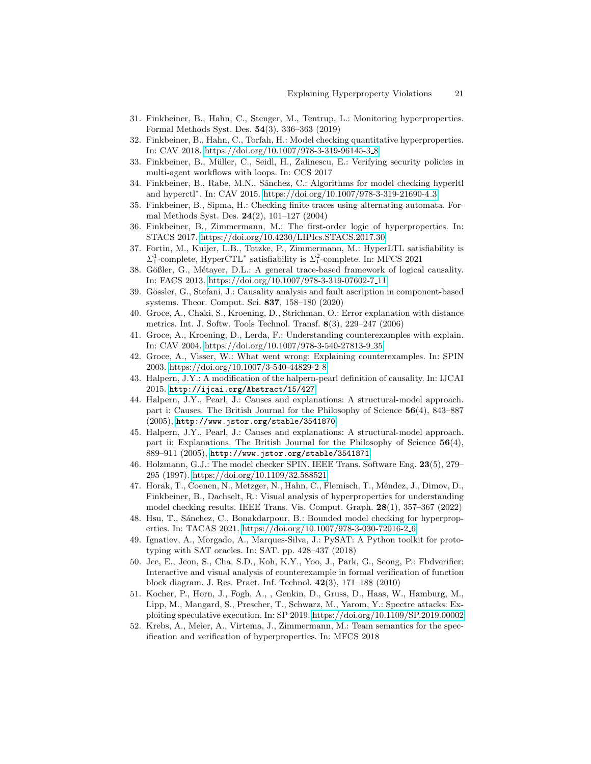- <span id="page-20-15"></span>31. Finkbeiner, B., Hahn, C., Stenger, M., Tentrup, L.: Monitoring hyperproperties. Formal Methods Syst. Des. 54(3), 336–363 (2019)
- <span id="page-20-5"></span>32. Finkbeiner, B., Hahn, C., Torfah, H.: Model checking quantitative hyperproperties. In: CAV 2018. [https://doi.org/10.1007/978-3-319-96145-3](https://doi.org/10.1007/978-3-319-96145-3_8) 8
- <span id="page-20-14"></span>33. Finkbeiner, B., Müller, C., Seidl, H., Zalinescu, E.: Verifying security policies in multi-agent workflows with loops. In: CCS 2017
- <span id="page-20-6"></span>34. Finkbeiner, B., Rabe, M.N., Sánchez, C.: Algorithms for model checking hyperltl and hyperctl<sup>∗</sup> . In: CAV 2015. [https://doi.org/10.1007/978-3-319-21690-4](https://doi.org/10.1007/978-3-319-21690-4_3) 3
- <span id="page-20-11"></span>35. Finkbeiner, B., Sipma, H.: Checking finite traces using alternating automata. Formal Methods Syst. Des. 24(2), 101–127 (2004)
- <span id="page-20-10"></span>36. Finkbeiner, B., Zimmermann, M.: The first-order logic of hyperproperties. In: STACS 2017.<https://doi.org/10.4230/LIPIcs.STACS.2017.30>
- <span id="page-20-13"></span>37. Fortin, M., Kuijer, L.B., Totzke, P., Zimmermann, M.: HyperLTL satisfiability is  $\Sigma_1^1$ -complete, HyperCTL<sup>\*</sup> satisfiability is  $\Sigma_1^2$ -complete. In: MFCS 2021
- <span id="page-20-9"></span>38. Gößler, G., Métayer, D.L.: A general trace-based framework of logical causality. In: FACS 2013. [https://doi.org/10.1007/978-3-319-07602-7](https://doi.org/10.1007/978-3-319-07602-7_11) 11
- <span id="page-20-17"></span>39. Gössler, G., Stefani, J.: Causality analysis and fault ascription in component-based systems. Theor. Comput. Sci. 837, 158–180 (2020)
- <span id="page-20-18"></span>40. Groce, A., Chaki, S., Kroening, D., Strichman, O.: Error explanation with distance metrics. Int. J. Softw. Tools Technol. Transf. 8(3), 229–247 (2006)
- <span id="page-20-19"></span>41. Groce, A., Kroening, D., Lerda, F.: Understanding counterexamples with explain. In: CAV 2004. [https://doi.org/10.1007/978-3-540-27813-9](https://doi.org/10.1007/978-3-540-27813-9_35) 35
- <span id="page-20-20"></span>42. Groce, A., Visser, W.: What went wrong: Explaining counterexamples. In: SPIN 2003. [https://doi.org/10.1007/3-540-44829-2](https://doi.org/10.1007/3-540-44829-2_8) 8
- <span id="page-20-2"></span>43. Halpern, J.Y.: A modification of the halpern-pearl definition of causality. In: IJCAI 2015. <http://ijcai.org/Abstract/15/427>
- <span id="page-20-3"></span>44. Halpern, J.Y., Pearl, J.: Causes and explanations: A structural-model approach. part i: Causes. The British Journal for the Philosophy of Science 56(4), 843–887 (2005), <http://www.jstor.org/stable/3541870>
- <span id="page-20-4"></span>45. Halpern, J.Y., Pearl, J.: Causes and explanations: A structural-model approach. part ii: Explanations. The British Journal for the Philosophy of Science  $56(4)$ , 889–911 (2005), <http://www.jstor.org/stable/3541871>
- <span id="page-20-0"></span>46. Holzmann, G.J.: The model checker SPIN. IEEE Trans. Software Eng. 23(5), 279– 295 (1997).<https://doi.org/10.1109/32.588521>
- <span id="page-20-8"></span>47. Horak, T., Coenen, N., Metzger, N., Hahn, C., Flemisch, T., Méndez, J., Dimov, D., Finkbeiner, B., Dachselt, R.: Visual analysis of hyperproperties for understanding model checking results. IEEE Trans. Vis. Comput. Graph. 28(1), 357–367 (2022)
- <span id="page-20-7"></span>48. Hsu, T., Sánchez, C., Bonakdarpour, B.: Bounded model checking for hyperproperties. In: TACAS 2021. [https://doi.org/10.1007/978-3-030-72016-2](https://doi.org/10.1007/978-3-030-72016-2_6) 6
- <span id="page-20-12"></span>49. Ignatiev, A., Morgado, A., Marques-Silva, J.: PySAT: A Python toolkit for prototyping with SAT oracles. In: SAT. pp. 428–437 (2018)
- <span id="page-20-21"></span>50. Jee, E., Jeon, S., Cha, S.D., Koh, K.Y., Yoo, J., Park, G., Seong, P.: Fbdverifier: Interactive and visual analysis of counterexample in formal verification of function block diagram. J. Res. Pract. Inf. Technol. 42(3), 171–188 (2010)
- <span id="page-20-1"></span>51. Kocher, P., Horn, J., Fogh, A., , Genkin, D., Gruss, D., Haas, W., Hamburg, M., Lipp, M., Mangard, S., Prescher, T., Schwarz, M., Yarom, Y.: Spectre attacks: Exploiting speculative execution. In: SP 2019.<https://doi.org/10.1109/SP.2019.00002>
- <span id="page-20-16"></span>52. Krebs, A., Meier, A., Virtema, J., Zimmermann, M.: Team semantics for the specification and verification of hyperproperties. In: MFCS 2018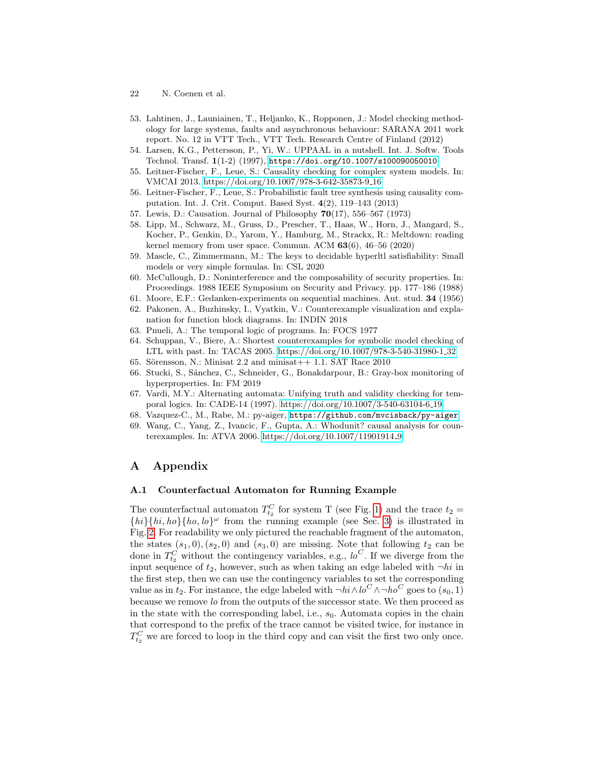- 22 N. Coenen et al.
- <span id="page-21-13"></span>53. Lahtinen, J., Launiainen, T., Heljanko, K., Ropponen, J.: Model checking methodology for large systems, faults and asynchronous behaviour: SARANA 2011 work report. No. 12 in VTT Tech., VTT Tech. Research Centre of Finland (2012)
- <span id="page-21-0"></span>54. Larsen, K.G., Pettersson, P., Yi, W.: UPPAAL in a nutshell. Int. J. Softw. Tools Technol. Transf.  $1(1-2)$  (1997), <https://doi.org/10.1007/s100090050010>
- <span id="page-21-16"></span>55. Leitner-Fischer, F., Leue, S.: Causality checking for complex system models. In: VMCAI 2013. [https://doi.org/10.1007/978-3-642-35873-9](https://doi.org/10.1007/978-3-642-35873-9_16) 16
- <span id="page-21-17"></span>56. Leitner-Fischer, F., Leue, S.: Probabilistic fault tree synthesis using causality computation. Int. J. Crit. Comput. Based Syst. 4(2), 119–143 (2013)
- <span id="page-21-2"></span>57. Lewis, D.: Causation. Journal of Philosophy 70(17), 556–567 (1973)
- <span id="page-21-1"></span>58. Lipp, M., Schwarz, M., Gruss, D., Prescher, T., Haas, W., Horn, J., Mangard, S., Kocher, P., Genkin, D., Yarom, Y., Hamburg, M., Strackx, R.: Meltdown: reading kernel memory from user space. Commun. ACM  $63(6)$ ,  $46-56$   $(2020)$
- <span id="page-21-10"></span>59. Mascle, C., Zimmermann, M.: The keys to decidable hyperltl satisfiability: Small models or very simple formulas. In: CSL 2020
- <span id="page-21-5"></span>60. McCullough, D.: Noninterference and the composability of security properties. In: Proceedings. 1988 IEEE Symposium on Security and Privacy. pp. 177–186 (1988)
- <span id="page-21-3"></span>61. Moore, E.F.: Gedanken-experiments on sequential machines. Aut. stud. 34 (1956)
- <span id="page-21-15"></span>62. Pakonen, A., Buzhinsky, I., Vyatkin, V.: Counterexample visualization and explanation for function block diagrams. In: INDIN 2018
- <span id="page-21-4"></span>63. Pnueli, A.: The temporal logic of programs. In: FOCS 1977
- <span id="page-21-14"></span>64. Schuppan, V., Biere, A.: Shortest counterexamples for symbolic model checking of LTL with past. In: TACAS 2005. [https://doi.org/10.1007/978-3-540-31980-1](https://doi.org/10.1007/978-3-540-31980-1_32) 32
- <span id="page-21-9"></span>65. Sörensson, N.: Minisat  $2.2$  and minisat $++$  1.1. SAT Race  $2010$ 66. Stucki, S., Sánchez, C., Schneider, G., Bonakdarpour, B.: Gray-box monitoring of
- <span id="page-21-11"></span>hyperproperties. In: FM 2019
- <span id="page-21-7"></span>67. Vardi, M.Y.: Alternating automata: Unifying truth and validity checking for temporal logics. In: CADE-14 (1997). [https://doi.org/10.1007/3-540-63104-6](https://doi.org/10.1007/3-540-63104-6_19) 19
- <span id="page-21-8"></span>68. Vazquez-C., M., Rabe, M.: py-aiger, <https://github.com/mvcisback/py-aiger>
- <span id="page-21-12"></span>69. Wang, C., Yang, Z., Ivancic, F., Gupta, A.: Whodunit? causal analysis for counterexamples. In: ATVA 2006. [https://doi.org/10.1007/11901914](https://doi.org/10.1007/11901914_9) 9

# A Appendix

#### <span id="page-21-6"></span>A.1 Counterfactual Automaton for Running Example

The counterfactual automaton  $T_{t_2}^C$  for system T (see Fig. [1\)](#page-4-2) and the trace  $t_2 =$  $\{hi\}\{hi, ho\}\{ho, lo\}^{\omega}$  from the running example (see Sec. [3\)](#page-4-0) is illustrated in Fig. [2.](#page-22-0) For readability we only pictured the reachable fragment of the automaton, the states  $(s_1, 0), (s_2, 0)$  and  $(s_3, 0)$  are missing. Note that following  $t_2$  can be done in  $T_{t_2}^C$  without the contingency variables, e.g.,  $\iota_o^C$ . If we diverge from the input sequence of  $t_2$ , however, such as when taking an edge labeled with  $\neg hi$  in the first step, then we can use the contingency variables to set the corresponding value as in  $t_2$ . For instance, the edge labeled with  $\neg hi \wedge lo^C \wedge \neg ho^C$  goes to  $(s_0, 1)$ because we remove lo from the outputs of the successor state. We then proceed as in the state with the corresponding label, i.e.,  $s<sub>0</sub>$ . Automata copies in the chain that correspond to the prefix of the trace cannot be visited twice, for instance in  $T_{t_2}^C$  we are forced to loop in the third copy and can visit the first two only once.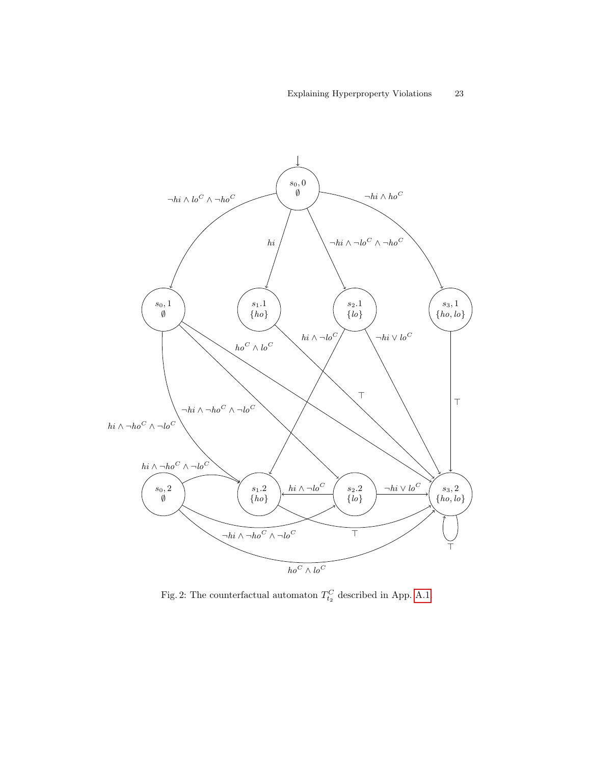<span id="page-22-0"></span>

Fig. 2: The counterfactual automaton  $T_{t_2}^C$  described in App. [A.1.](#page-21-6)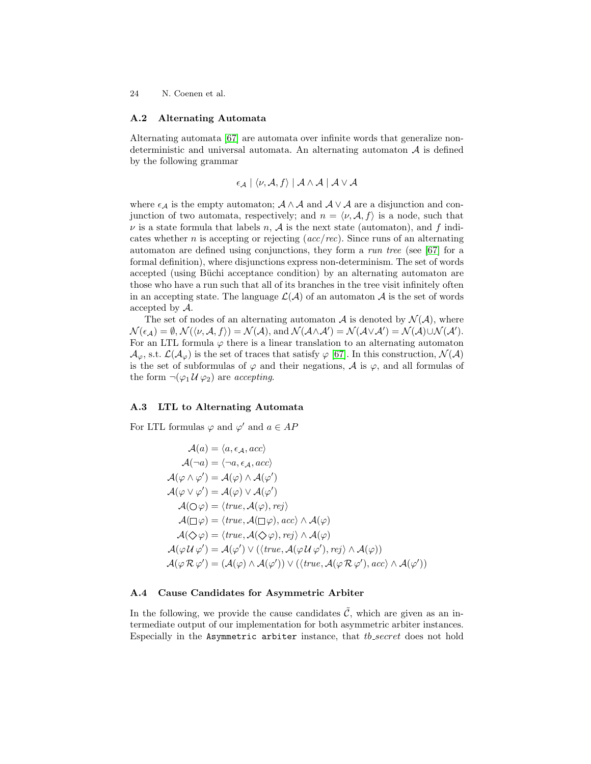#### <span id="page-23-0"></span>A.2 Alternating Automata

Alternating automata [\[67\]](#page-21-7) are automata over infinite words that generalize nondeterministic and universal automata. An alternating automaton  $A$  is defined by the following grammar

$$
\epsilon_{\mathcal{A}} \mid \langle \nu, \mathcal{A}, f \rangle \mid \mathcal{A} \land \mathcal{A} \mid \mathcal{A} \lor \mathcal{A}
$$

where  $\epsilon_{\mathcal{A}}$  is the empty automaton;  $\mathcal{A} \wedge \mathcal{A}$  and  $\mathcal{A} \vee \mathcal{A}$  are a disjunction and conjunction of two automata, respectively; and  $n = \langle \nu, \mathcal{A}, f \rangle$  is a node, such that  $\nu$  is a state formula that labels n, A is the next state (automaton), and f indicates whether *n* is accepting or rejecting  $(ac/rec)$ . Since runs of an alternating automaton are defined using conjunctions, they form a run tree (see [\[67\]](#page-21-7) for a formal definition), where disjunctions express non-determinism. The set of words accepted (using Büchi acceptance condition) by an alternating automaton are those who have a run such that all of its branches in the tree visit infinitely often in an accepting state. The language  $\mathcal{L}(\mathcal{A})$  of an automaton  $\mathcal{A}$  is the set of words accepted by A.

The set of nodes of an alternating automaton  $A$  is denoted by  $\mathcal{N}(A)$ , where  $\mathcal{N}(\epsilon_{\mathcal{A}}) = \emptyset$ ,  $\mathcal{N}(\langle \nu, \mathcal{A}, f \rangle) = \mathcal{N}(\mathcal{A})$ , and  $\mathcal{N}(\mathcal{A} \wedge \mathcal{A}') = \mathcal{N}(\mathcal{A} \vee \mathcal{A}') = \mathcal{N}(\mathcal{A}) \cup \mathcal{N}(\mathcal{A}')$ . For an LTL formula  $\varphi$  there is a linear translation to an alternating automaton  $\mathcal{A}_{\varphi}$ , s.t.  $\mathcal{L}(\mathcal{A}_{\varphi})$  is the set of traces that satisfy  $\varphi$  [\[67\]](#page-21-7). In this construction,  $\mathcal{N}(\mathcal{A})$ is the set of subformulas of  $\varphi$  and their negations,  $\mathcal A$  is  $\varphi$ , and all formulas of the form  $\neg(\varphi_1 \mathcal{U} \varphi_2)$  are *accepting*.

### <span id="page-23-1"></span>A.3 LTL to Alternating Automata

For LTL formulas  $\varphi$  and  $\varphi'$  and  $a \in AP$ 

$$
A(a) = \langle a, \epsilon_A, acc \rangle
$$
  
\n
$$
A(\neg a) = \langle \neg a, \epsilon_A, acc \rangle
$$
  
\n
$$
A(\varphi \land \varphi') = A(\varphi) \land A(\varphi')
$$
  
\n
$$
A(\varphi \lor \varphi') = A(\varphi) \lor A(\varphi')
$$
  
\n
$$
A(\bigcirc \varphi) = \langle true, A(\varphi), rej \rangle
$$
  
\n
$$
A(\bigcirc \varphi) = \langle true, A(\bigcirc \varphi), ac \rangle \land A(\varphi)
$$
  
\n
$$
A(\Diamond \varphi) = \langle true, A(\Diamond \varphi), rej \rangle \land A(\varphi)
$$
  
\n
$$
A(\varphi \mathcal{U} \varphi') = A(\varphi') \lor (\langle true, A(\varphi \mathcal{U} \varphi'), rej \rangle \land A(\varphi))
$$
  
\n
$$
A(\varphi \mathcal{R} \varphi') = (A(\varphi) \land A(\varphi')) \lor (\langle true, A(\varphi \mathcal{R} \varphi'), acc \land A(\varphi'))
$$

### <span id="page-23-2"></span>A.4 Cause Candidates for Asymmetric Arbiter

In the following, we provide the cause candidates  $\tilde{C}$ , which are given as an intermediate output of our implementation for both asymmetric arbiter instances. Especially in the Asymmetric arbiter instance, that tb\_secret does not hold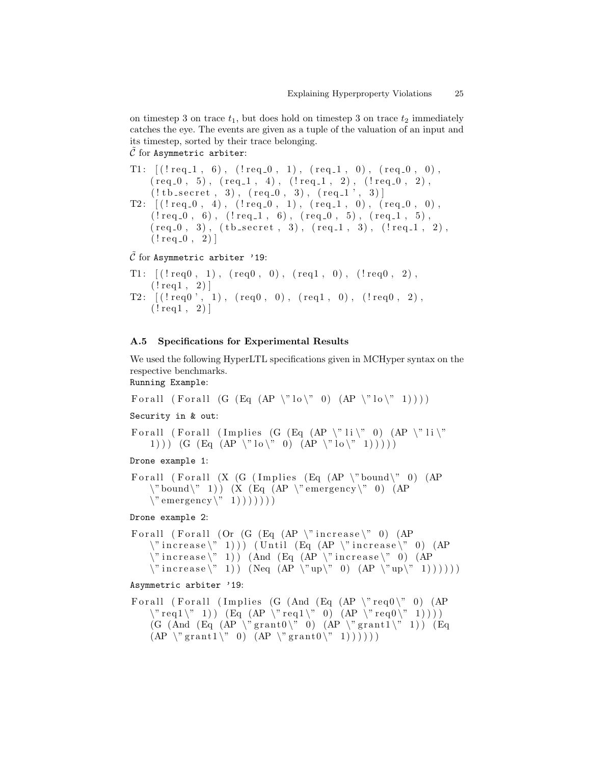on timestep 3 on trace  $t_1$ , but does hold on timestep 3 on trace  $t_2$  immediately catches the eye. The events are given as a tuple of the valuation of an input and its timestep, sorted by their trace belonging.  $\hat{C}$  for Asymmetric arbiter:

T1:  $[(!\text{req}_1, 6), (\text{req}_0, 1), (\text{req}_1, 0), (\text{req}_0, 0),$  $(\text{req.0}, 5), (\text{req.1}, 4), (\text{req.1}, 2), (\text{req.0}, 2),$  $(l.b\_secret, 3), (req_0, 3), (req_1', 3)]$ T2:  $[(!\text{req}_0, 4), (\text{req}_0, 1), (\text{req}_1, 0), (\text{req}_0, 0),$  $(l \text{req}_0, 6)$ ,  $(l \text{req}_1, 6)$ ,  $(\text{req}_0, 5)$ ,  $(\text{req}_1, 5)$ ,  $(\text{req}_0, 3)$ ,  $(\text{tb\_secret}, 3)$ ,  $(\text{req}_1, 3)$ ,  $(\text{req}_1, 2)$ ,  $(l \, \text{req}_0, 2)$ ]

 $C$  for Asymmetric arbiter '19:

```
T1: [(!\text{req0}, 1), (\text{req0}, 0), (\text{req1}, 0), (\text{req0}, 2),(l \, \text{req1}, \, 2)]
T2: [(!\text{req0}', 1), (\text{req0}, 0), (\text{req1}, 0), (\text{req0}, 2),(l \, \text{req1}, \, 2)]
```
### <span id="page-24-0"></span>A.5 Specifications for Experimental Results

We used the following HyperLTL specifications given in MCHyper syntax on the respective benchmarks.

Running Example:

For all ( For all ( G ( Eq ( AP  $\forall$  ' lo  $\forall$  ' 0 ) ( AP  $\forall$  ' lo  $\forall$  ' 1 ) ) )

Security in & out:

For all ( For all ( Implies (G (Eq ( AP \" li \" 0) (AP \" li \" 1)))  $(G (Eq (AP \ 'No \'' 0) (AP \ 'No \' ' 1) ))$ 

Drone example 1:

```
For all (For all (X \ G \ (Implies \ (Eq \ (AP \ \lor bound\ \' 0 ) \ (AP\forall" bound\forall" 1) ) (X (Eq (AP \forall" emergency\forall" 0) (AP
     \forall" emergency \forall" 1) ) ) ) ) )
```
Drone example 2:

```
For all (For all (Or (G (Eq (AP \lq" increase \lq" 0) (AP
     \verb|{}" increase \verb|{}" 1 )) (Until (Eq (AP \"increase\" 0) (AP
     \forall" increase \vee" 1) ) (And (Eq (AP \vee" increase \vee" 0) (AP
     \forall increase \langle" 1) (\text{Neq }(AP \vee \text{up}\vee \text{m o}) (AP \vee \text{up}\vee \text{m o})
```
#### Asymmetric arbiter '19:

```
For all ( For all ( Implies (G (And (Eq (AP \forall req 0\forall 0) (AP
    \forall" req 1 \" 1 ) (Eq (AP \ 'req1 \'") (AP \" req 0 \" 1) ) )
    (G (And (Eq (AP \forall grant0\forall 0) (AP \forall grant1\forall 1)) (Eq
    (AP \ '^\prime\ grant 1 \'^\prime\ 0) (AP \ '^\prime\ grant 0 \'^\prime\ 1))))
```